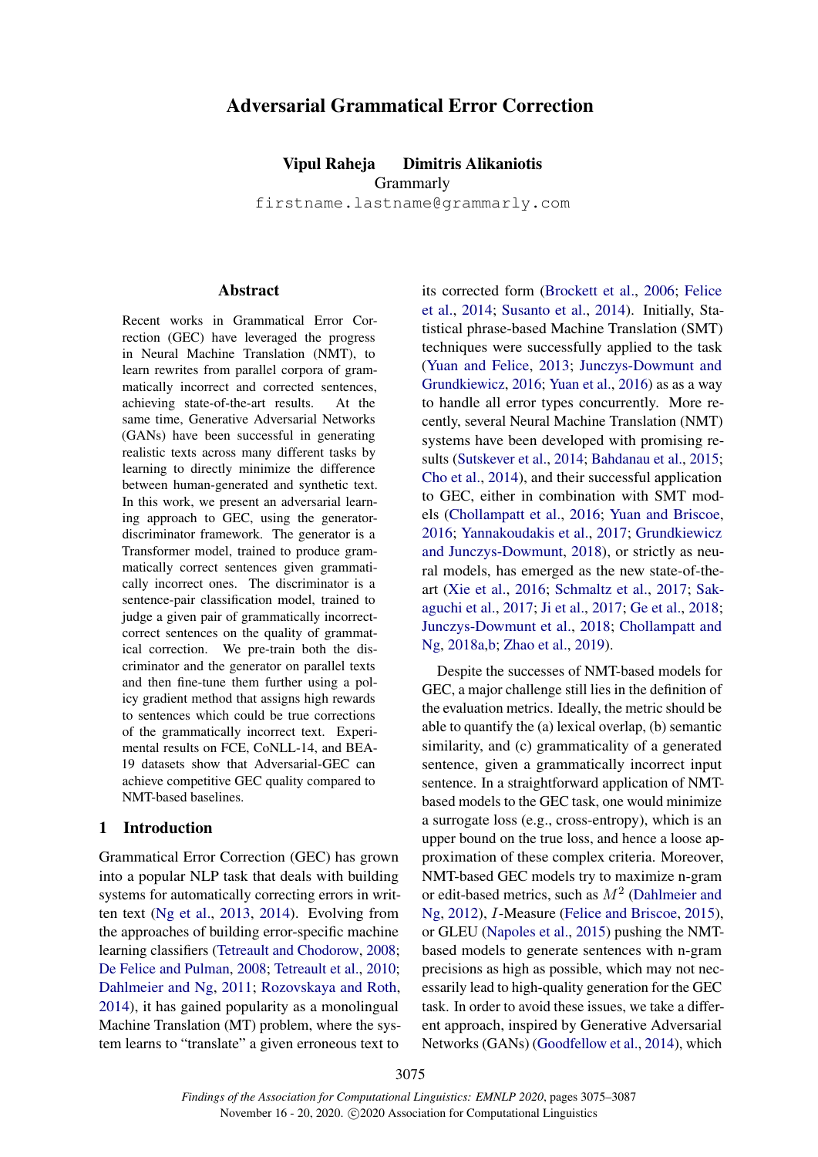# Adversarial Grammatical Error Correction

Vipul Raheja Dimitris Alikaniotis **Grammarly** firstname.lastname@grammarly.com

### **Abstract**

Recent works in Grammatical Error Correction (GEC) have leveraged the progress in Neural Machine Translation (NMT), to learn rewrites from parallel corpora of grammatically incorrect and corrected sentences, achieving state-of-the-art results. At the same time, Generative Adversarial Networks (GANs) have been successful in generating realistic texts across many different tasks by learning to directly minimize the difference between human-generated and synthetic text. In this work, we present an adversarial learning approach to GEC, using the generatordiscriminator framework. The generator is a Transformer model, trained to produce grammatically correct sentences given grammatically incorrect ones. The discriminator is a sentence-pair classification model, trained to judge a given pair of grammatically incorrectcorrect sentences on the quality of grammatical correction. We pre-train both the discriminator and the generator on parallel texts and then fine-tune them further using a policy gradient method that assigns high rewards to sentences which could be true corrections of the grammatically incorrect text. Experimental results on FCE, CoNLL-14, and BEA-19 datasets show that Adversarial-GEC can achieve competitive GEC quality compared to NMT-based baselines.

#### <span id="page-0-0"></span>1 Introduction

Grammatical Error Correction (GEC) has grown into a popular NLP task that deals with building systems for automatically correcting errors in written text [\(Ng et al.,](#page-11-0) [2013,](#page-11-0) [2014\)](#page-10-0). Evolving from the approaches of building error-specific machine learning classifiers [\(Tetreault and Chodorow,](#page-11-1) [2008;](#page-11-1) [De Felice and Pulman,](#page-9-0) [2008;](#page-9-0) [Tetreault et al.,](#page-11-2) [2010;](#page-11-2) [Dahlmeier and Ng,](#page-9-1) [2011;](#page-9-1) [Rozovskaya and Roth,](#page-11-3) [2014\)](#page-11-3), it has gained popularity as a monolingual Machine Translation (MT) problem, where the system learns to "translate" a given erroneous text to

its corrected form [\(Brockett et al.,](#page-8-0) [2006;](#page-8-0) [Felice](#page-9-2) [et al.,](#page-9-2) [2014;](#page-9-2) [Susanto et al.,](#page-11-4) [2014\)](#page-11-4). Initially, Statistical phrase-based Machine Translation (SMT) techniques were successfully applied to the task [\(Yuan and Felice,](#page-12-0) [2013;](#page-12-0) [Junczys-Dowmunt and](#page-10-1) [Grundkiewicz,](#page-10-1) [2016;](#page-10-1) [Yuan et al.,](#page-12-1) [2016\)](#page-12-1) as as a way to handle all error types concurrently. More recently, several Neural Machine Translation (NMT) systems have been developed with promising results [\(Sutskever et al.,](#page-11-5) [2014;](#page-11-5) [Bahdanau et al.,](#page-8-1) [2015;](#page-8-1) [Cho et al.,](#page-9-3) [2014\)](#page-9-3), and their successful application to GEC, either in combination with SMT models [\(Chollampatt et al.,](#page-9-4) [2016;](#page-9-4) [Yuan and Briscoe,](#page-12-2) [2016;](#page-12-2) [Yannakoudakis et al.,](#page-12-3) [2017;](#page-12-3) [Grundkiewicz](#page-10-2) [and Junczys-Dowmunt,](#page-10-2) [2018\)](#page-10-2), or strictly as neural models, has emerged as the new state-of-theart [\(Xie et al.,](#page-12-4) [2016;](#page-12-4) [Schmaltz et al.,](#page-11-6) [2017;](#page-11-6) [Sak](#page-11-7)[aguchi et al.,](#page-11-7) [2017;](#page-11-7) [Ji et al.,](#page-10-3) [2017;](#page-10-3) [Ge et al.,](#page-9-5) [2018;](#page-9-5) [Junczys-Dowmunt et al.,](#page-10-4) [2018;](#page-10-4) [Chollampatt and](#page-9-6) [Ng,](#page-9-6) [2018a](#page-9-6)[,b;](#page-9-7) [Zhao et al.,](#page-12-5) [2019\)](#page-12-5).

Despite the successes of NMT-based models for GEC, a major challenge still lies in the definition of the evaluation metrics. Ideally, the metric should be able to quantify the (a) lexical overlap, (b) semantic similarity, and (c) grammaticality of a generated sentence, given a grammatically incorrect input sentence. In a straightforward application of NMTbased models to the GEC task, one would minimize a surrogate loss (e.g., cross-entropy), which is an upper bound on the true loss, and hence a loose approximation of these complex criteria. Moreover, NMT-based GEC models try to maximize n-gram or edit-based metrics, such as  $M^2$  [\(Dahlmeier and](#page-9-8) [Ng,](#page-9-8) [2012\)](#page-9-8), I-Measure [\(Felice and Briscoe,](#page-9-9) [2015\)](#page-9-9), or GLEU [\(Napoles et al.,](#page-10-5) [2015\)](#page-10-5) pushing the NMTbased models to generate sentences with n-gram precisions as high as possible, which may not necessarily lead to high-quality generation for the GEC task. In order to avoid these issues, we take a different approach, inspired by Generative Adversarial Networks (GANs) [\(Goodfellow et al.,](#page-10-6) [2014\)](#page-10-6), which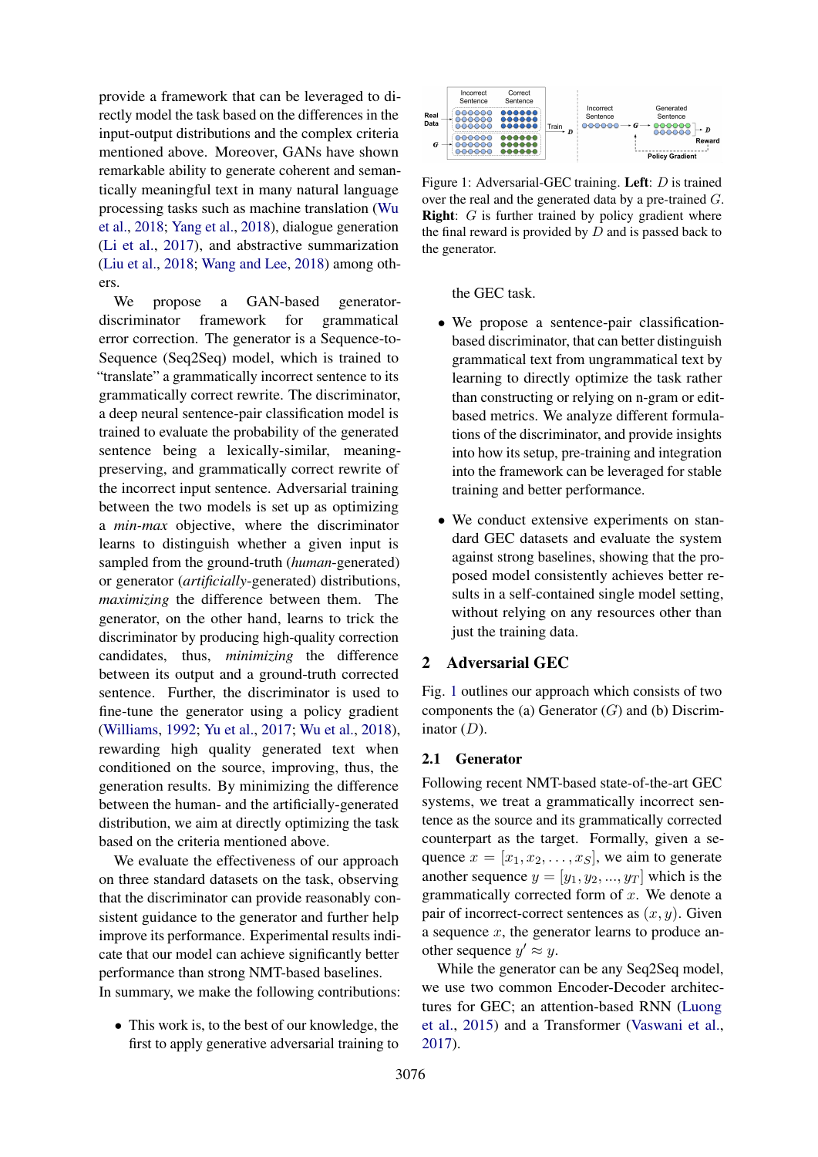provide a framework that can be leveraged to directly model the task based on the differences in the input-output distributions and the complex criteria mentioned above. Moreover, GANs have shown remarkable ability to generate coherent and semantically meaningful text in many natural language processing tasks such as machine translation [\(Wu](#page-12-6) [et al.,](#page-12-6) [2018;](#page-12-6) [Yang et al.,](#page-12-7) [2018\)](#page-12-7), dialogue generation [\(Li et al.,](#page-10-7) [2017\)](#page-10-7), and abstractive summarization [\(Liu et al.,](#page-10-8) [2018;](#page-10-8) [Wang and Lee,](#page-11-8) [2018\)](#page-11-8) among others.

We propose a GAN-based generatordiscriminator framework for grammatical error correction. The generator is a Sequence-to-Sequence (Seq2Seq) model, which is trained to "translate" a grammatically incorrect sentence to its grammatically correct rewrite. The discriminator, a deep neural sentence-pair classification model is trained to evaluate the probability of the generated sentence being a lexically-similar, meaningpreserving, and grammatically correct rewrite of the incorrect input sentence. Adversarial training between the two models is set up as optimizing a *min-max* objective, where the discriminator learns to distinguish whether a given input is sampled from the ground-truth (*human*-generated) or generator (*artificially*-generated) distributions, *maximizing* the difference between them. The generator, on the other hand, learns to trick the discriminator by producing high-quality correction candidates, thus, *minimizing* the difference between its output and a ground-truth corrected sentence. Further, the discriminator is used to fine-tune the generator using a policy gradient [\(Williams,](#page-12-8) [1992;](#page-12-8) [Yu et al.,](#page-12-9) [2017;](#page-12-9) [Wu et al.,](#page-12-6) [2018\)](#page-12-6), rewarding high quality generated text when conditioned on the source, improving, thus, the generation results. By minimizing the difference between the human- and the artificially-generated distribution, we aim at directly optimizing the task based on the criteria mentioned above.

We evaluate the effectiveness of our approach on three standard datasets on the task, observing that the discriminator can provide reasonably consistent guidance to the generator and further help improve its performance. Experimental results indicate that our model can achieve significantly better performance than strong NMT-based baselines. In summary, we make the following contributions:

• This work is, to the best of our knowledge, the first to apply generative adversarial training to

<span id="page-1-0"></span>

Figure 1: Adversarial-GEC training. Left: D is trained over the real and the generated data by a pre-trained G. **Right**:  $G$  is further trained by policy gradient where the final reward is provided by  $D$  and is passed back to the generator.

the GEC task.

- We propose a sentence-pair classificationbased discriminator, that can better distinguish grammatical text from ungrammatical text by learning to directly optimize the task rather than constructing or relying on n-gram or editbased metrics. We analyze different formulations of the discriminator, and provide insights into how its setup, pre-training and integration into the framework can be leveraged for stable training and better performance.
- We conduct extensive experiments on standard GEC datasets and evaluate the system against strong baselines, showing that the proposed model consistently achieves better results in a self-contained single model setting, without relying on any resources other than just the training data.

## 2 Adversarial GEC

Fig. [1](#page-1-0) outlines our approach which consists of two components the (a) Generator  $(G)$  and (b) Discriminator  $(D)$ .

## <span id="page-1-1"></span>2.1 Generator

Following recent NMT-based state-of-the-art GEC systems, we treat a grammatically incorrect sentence as the source and its grammatically corrected counterpart as the target. Formally, given a sequence  $x = [x_1, x_2, \ldots, x_S]$ , we aim to generate another sequence  $y = [y_1, y_2, ..., y_T]$  which is the grammatically corrected form of  $x$ . We denote a pair of incorrect-correct sentences as  $(x, y)$ . Given a sequence  $x$ , the generator learns to produce another sequence  $y' \approx y$ .

While the generator can be any Seq2Seq model, we use two common Encoder-Decoder architectures for GEC; an attention-based RNN [\(Luong](#page-10-9) [et al.,](#page-10-9) [2015\)](#page-10-9) and a Transformer [\(Vaswani et al.,](#page-11-9) [2017\)](#page-11-9).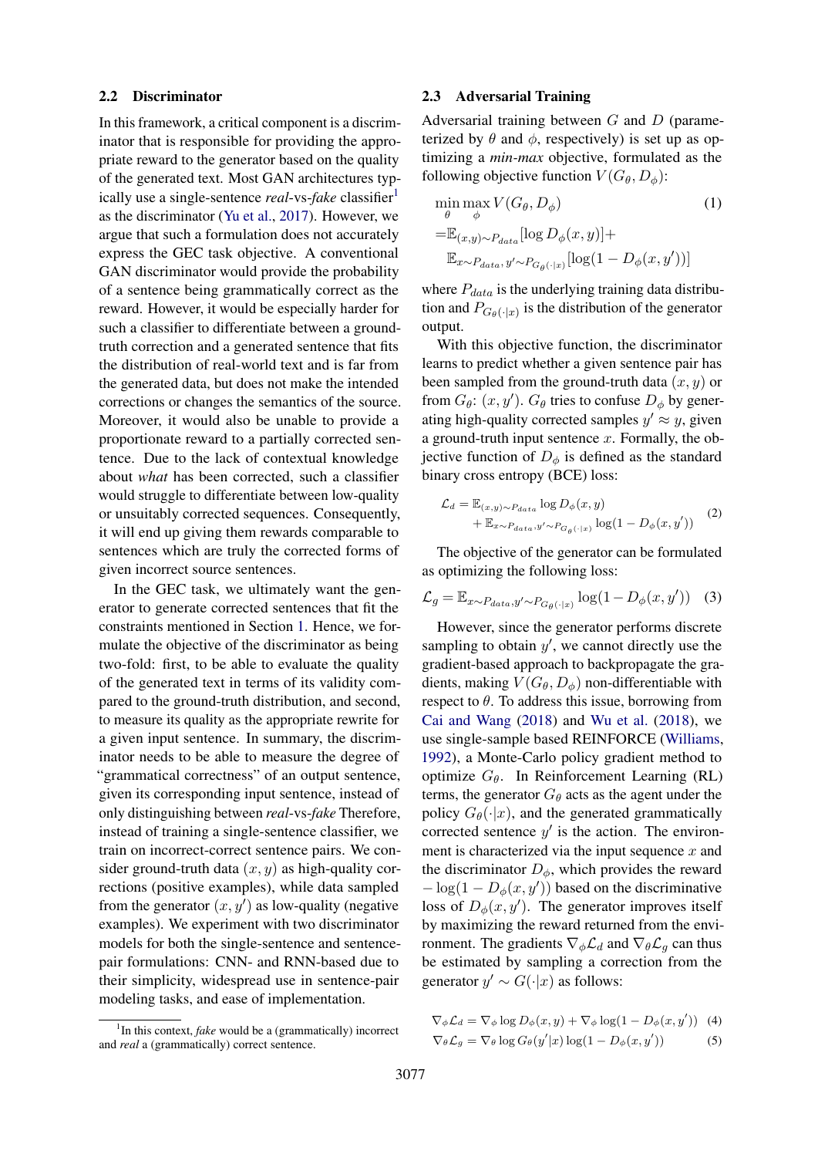#### <span id="page-2-2"></span>2.2 Discriminator

In this framework, a critical component is a discriminator that is responsible for providing the appropriate reward to the generator based on the quality of the generated text. Most GAN architectures typically use a single-sentence *real*-vs-*fake* classifier<sup>[1](#page-2-0)</sup> as the discriminator [\(Yu et al.,](#page-12-9) [2017\)](#page-12-9). However, we argue that such a formulation does not accurately express the GEC task objective. A conventional GAN discriminator would provide the probability of a sentence being grammatically correct as the reward. However, it would be especially harder for such a classifier to differentiate between a groundtruth correction and a generated sentence that fits the distribution of real-world text and is far from the generated data, but does not make the intended corrections or changes the semantics of the source. Moreover, it would also be unable to provide a proportionate reward to a partially corrected sentence. Due to the lack of contextual knowledge about *what* has been corrected, such a classifier would struggle to differentiate between low-quality or unsuitably corrected sequences. Consequently, it will end up giving them rewards comparable to sentences which are truly the corrected forms of given incorrect source sentences.

In the GEC task, we ultimately want the generator to generate corrected sentences that fit the constraints mentioned in Section [1.](#page-0-0) Hence, we formulate the objective of the discriminator as being two-fold: first, to be able to evaluate the quality of the generated text in terms of its validity compared to the ground-truth distribution, and second, to measure its quality as the appropriate rewrite for a given input sentence. In summary, the discriminator needs to be able to measure the degree of "grammatical correctness" of an output sentence, given its corresponding input sentence, instead of only distinguishing between *real*-vs-*fake* Therefore, instead of training a single-sentence classifier, we train on incorrect-correct sentence pairs. We consider ground-truth data  $(x, y)$  as high-quality corrections (positive examples), while data sampled from the generator  $(x, y')$  as low-quality (negative examples). We experiment with two discriminator models for both the single-sentence and sentencepair formulations: CNN- and RNN-based due to their simplicity, widespread use in sentence-pair modeling tasks, and ease of implementation.

#### <span id="page-2-1"></span>2.3 Adversarial Training

Adversarial training between G and D (parameterized by  $\theta$  and  $\phi$ , respectively) is set up as optimizing a *min-max* objective, formulated as the following objective function  $V(G_{\theta}, D_{\phi})$ :

$$
\min_{\theta} \max_{\phi} V(G_{\theta}, D_{\phi})
$$
\n
$$
= \mathbb{E}_{(x,y)\sim P_{data}}[\log D_{\phi}(x, y)] +
$$
\n
$$
\mathbb{E}_{x\sim P_{data}, y'\sim P_{G_{\theta}(\cdot|x)}}[\log(1 - D_{\phi}(x, y'))]
$$
\n(1)

where  $P_{data}$  is the underlying training data distribution and  $P_{G_{\theta}(\cdot|x)}$  is the distribution of the generator output.

With this objective function, the discriminator learns to predict whether a given sentence pair has been sampled from the ground-truth data  $(x, y)$  or from  $G_{\theta}$ :  $(x, y')$ .  $G_{\theta}$  tries to confuse  $D_{\phi}$  by generating high-quality corrected samples  $y' \approx y$ , given a ground-truth input sentence  $x$ . Formally, the objective function of  $D_{\phi}$  is defined as the standard binary cross entropy (BCE) loss:

$$
\mathcal{L}_d = \mathbb{E}_{(x,y)\sim P_{data}} \log D_{\phi}(x,y)
$$
  
+ 
$$
\mathbb{E}_{x\sim P_{data}, y'\sim P_{G_{\theta}(\cdot|x)}} \log(1 - D_{\phi}(x,y')) \qquad (2)
$$

The objective of the generator can be formulated as optimizing the following loss:

$$
\mathcal{L}_g = \mathbb{E}_{x \sim P_{data}, y' \sim P_{G_\theta(\cdot|x)}} \log(1 - D_\phi(x, y')) \quad (3)
$$

However, since the generator performs discrete sampling to obtain  $y'$ , we cannot directly use the gradient-based approach to backpropagate the gradients, making  $V(G_\theta, D_\phi)$  non-differentiable with respect to  $\theta$ . To address this issue, borrowing from [Cai and Wang](#page-8-2) [\(2018\)](#page-8-2) and [Wu et al.](#page-12-6) [\(2018\)](#page-12-6), we use single-sample based REINFORCE [\(Williams,](#page-12-8) [1992\)](#page-12-8), a Monte-Carlo policy gradient method to optimize  $G_{\theta}$ . In Reinforcement Learning (RL) terms, the generator  $G_{\theta}$  acts as the agent under the policy  $G_{\theta}(\cdot|x)$ , and the generated grammatically corrected sentence  $y'$  is the action. The environment is characterized via the input sequence  $x$  and the discriminator  $D_{\phi}$ , which provides the reward  $-\log(1 - D_{\phi}(x, y'))$  based on the discriminative loss of  $D_{\phi}(x, y')$ . The generator improves itself by maximizing the reward returned from the environment. The gradients  $\nabla_{\phi} \mathcal{L}_d$  and  $\nabla_{\theta} \mathcal{L}_q$  can thus be estimated by sampling a correction from the generator  $y' \sim G(\cdot | x)$  as follows:

$$
\nabla_{\phi} \mathcal{L}_{d} = \nabla_{\phi} \log D_{\phi}(x, y) + \nabla_{\phi} \log (1 - D_{\phi}(x, y')) \quad (4)
$$
  

$$
\nabla_{\theta} \mathcal{L}_{g} = \nabla_{\theta} \log G_{\theta}(y'|x) \log (1 - D_{\phi}(x, y')) \quad (5)
$$

<span id="page-2-0"></span><sup>&</sup>lt;sup>1</sup>In this context, *fake* would be a (grammatically) incorrect and *real* a (grammatically) correct sentence.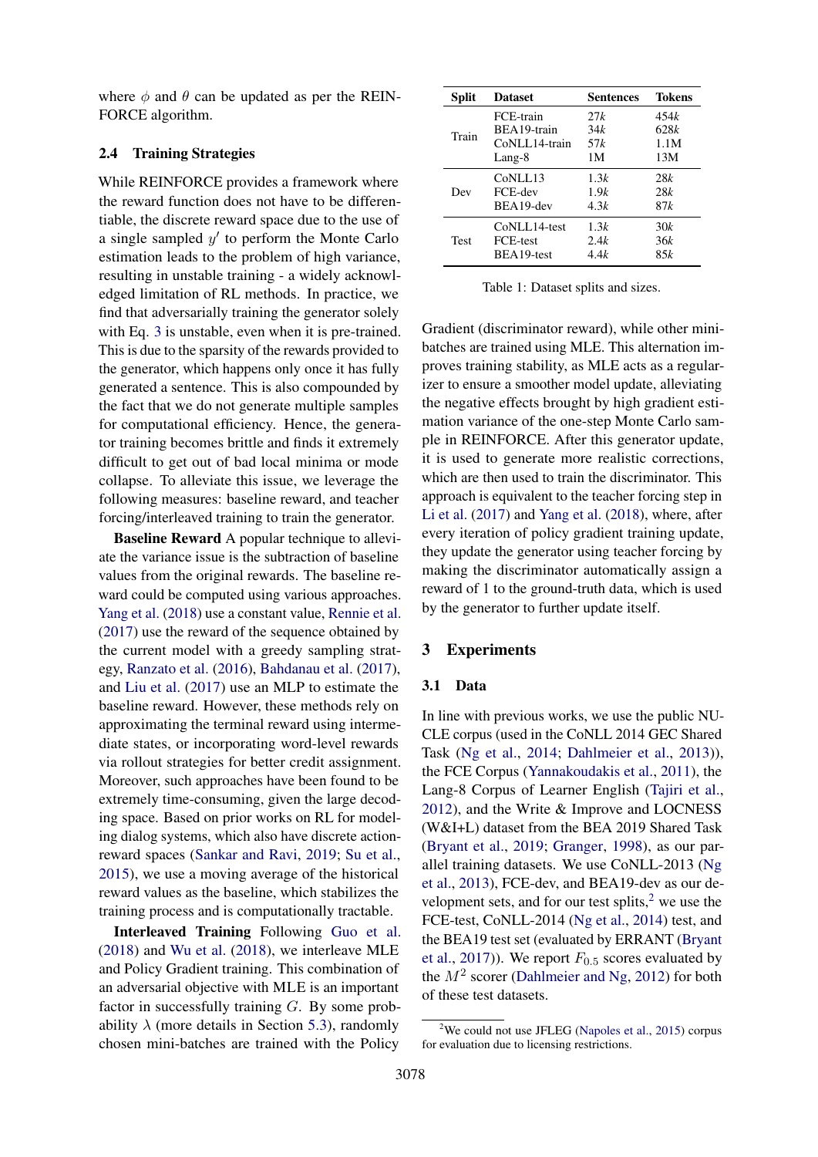where  $\phi$  and  $\theta$  can be updated as per the REIN-FORCE algorithm.

#### <span id="page-3-2"></span>2.4 Training Strategies

While REINFORCE provides a framework where the reward function does not have to be differentiable, the discrete reward space due to the use of a single sampled  $y'$  to perform the Monte Carlo estimation leads to the problem of high variance, resulting in unstable training - a widely acknowledged limitation of RL methods. In practice, we find that adversarially training the generator solely with Eq. [3](#page-2-1) is unstable, even when it is pre-trained. This is due to the sparsity of the rewards provided to the generator, which happens only once it has fully generated a sentence. This is also compounded by the fact that we do not generate multiple samples for computational efficiency. Hence, the generator training becomes brittle and finds it extremely difficult to get out of bad local minima or mode collapse. To alleviate this issue, we leverage the following measures: baseline reward, and teacher forcing/interleaved training to train the generator.

Baseline Reward A popular technique to alleviate the variance issue is the subtraction of baseline values from the original rewards. The baseline reward could be computed using various approaches. [Yang et al.](#page-12-7) [\(2018\)](#page-12-7) use a constant value, [Rennie et al.](#page-11-10) [\(2017\)](#page-11-10) use the reward of the sequence obtained by the current model with a greedy sampling strategy, [Ranzato et al.](#page-11-11) [\(2016\)](#page-11-11), [Bahdanau et al.](#page-8-3) [\(2017\)](#page-8-3), and [Liu et al.](#page-10-10) [\(2017\)](#page-10-10) use an MLP to estimate the baseline reward. However, these methods rely on approximating the terminal reward using intermediate states, or incorporating word-level rewards via rollout strategies for better credit assignment. Moreover, such approaches have been found to be extremely time-consuming, given the large decoding space. Based on prior works on RL for modeling dialog systems, which also have discrete actionreward spaces [\(Sankar and Ravi,](#page-11-12) [2019;](#page-11-12) [Su et al.,](#page-11-13) [2015\)](#page-11-13), we use a moving average of the historical reward values as the baseline, which stabilizes the training process and is computationally tractable.

Interleaved Training Following [Guo et al.](#page-10-11) [\(2018\)](#page-10-11) and [Wu et al.](#page-12-6) [\(2018\)](#page-12-6), we interleave MLE and Policy Gradient training. This combination of an adversarial objective with MLE is an important factor in successfully training G. By some probability  $\lambda$  (more details in Section [5.3\)](#page-7-0), randomly chosen mini-batches are trained with the Policy

| <b>Split</b> | <b>Dataset</b> | Sentences | Tokens |
|--------------|----------------|-----------|--------|
| Train        | FCE-train      | 27k       | 454k   |
|              | BEA19-train    | 34k       | 628k   |
|              | CoNLL14-train  | 57 k      | 1.1M   |
|              | Lang-8         | 1М        | 13M    |
| Dev          | CoNLL13        | 1.3k      | 28k    |
|              | FCE-dev        | 1.9k      | 28k    |
|              | BEA19-dev      | 4.3k      | 87k    |
| <b>Test</b>  | CoNLL14-test   | 1.3k      | 30k    |
|              | FCE-test       | 2.4k      | 36k    |
|              | BEA19-test     | 4.4k      | 85k    |

Table 1: Dataset splits and sizes.

Gradient (discriminator reward), while other minibatches are trained using MLE. This alternation improves training stability, as MLE acts as a regularizer to ensure a smoother model update, alleviating the negative effects brought by high gradient estimation variance of the one-step Monte Carlo sample in REINFORCE. After this generator update, it is used to generate more realistic corrections, which are then used to train the discriminator. This approach is equivalent to the teacher forcing step in [Li et al.](#page-10-7) [\(2017\)](#page-10-7) and [Yang et al.](#page-12-7) [\(2018\)](#page-12-7), where, after every iteration of policy gradient training update, they update the generator using teacher forcing by making the discriminator automatically assign a reward of 1 to the ground-truth data, which is used by the generator to further update itself.

### 3 Experiments

#### <span id="page-3-1"></span>3.1 Data

In line with previous works, we use the public NU-CLE corpus (used in the CoNLL 2014 GEC Shared Task [\(Ng et al.,](#page-10-0) [2014;](#page-10-0) [Dahlmeier et al.,](#page-9-10) [2013\)](#page-9-10)), the FCE Corpus [\(Yannakoudakis et al.,](#page-12-10) [2011\)](#page-12-10), the Lang-8 Corpus of Learner English [\(Tajiri et al.,](#page-11-14) [2012\)](#page-11-14), and the Write & Improve and LOCNESS (W&I+L) dataset from the BEA 2019 Shared Task [\(Bryant et al.,](#page-8-4) [2019;](#page-8-4) [Granger,](#page-10-12) [1998\)](#page-10-12), as our parallel training datasets. We use CoNLL-2013 [\(Ng](#page-11-0) [et al.,](#page-11-0) [2013\)](#page-11-0), FCE-dev, and BEA19-dev as our development sets, and for our test splits, $<sup>2</sup>$  $<sup>2</sup>$  $<sup>2</sup>$  we use the</sup> FCE-test, CoNLL-2014 [\(Ng et al.,](#page-10-0) [2014\)](#page-10-0) test, and the BEA19 test set (evaluated by ERRANT [\(Bryant](#page-8-5) [et al.,](#page-8-5) [2017\)](#page-8-5)). We report  $F_{0.5}$  scores evaluated by the  $M^2$  scorer [\(Dahlmeier and Ng,](#page-9-8) [2012\)](#page-9-8) for both of these test datasets.

<span id="page-3-0"></span><sup>&</sup>lt;sup>2</sup>We could not use JFLEG [\(Napoles et al.,](#page-10-5) [2015\)](#page-10-5) corpus for evaluation due to licensing restrictions.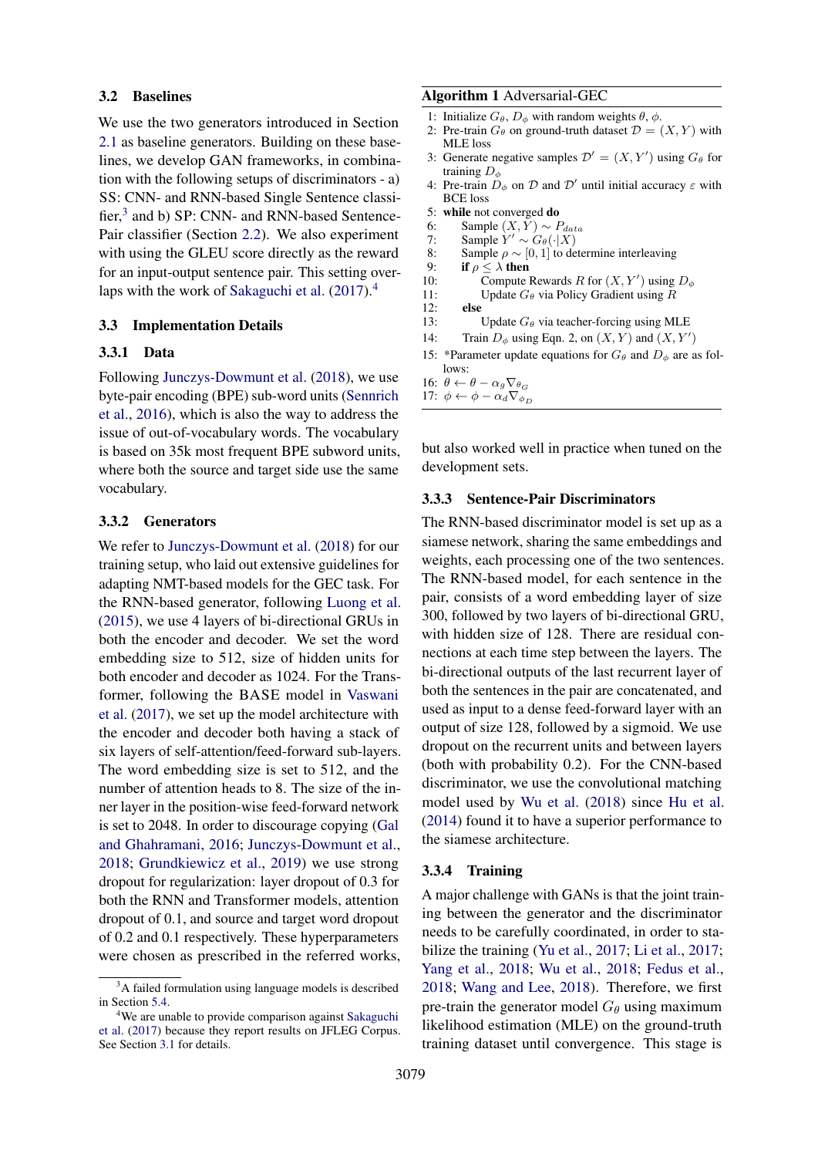#### <span id="page-4-2"></span>3.2 Baselines

We use the two generators introduced in Section [2.1](#page-1-1) as baseline generators. Building on these baselines, we develop GAN frameworks, in combination with the following setups of discriminators - a) SS: CNN- and RNN-based Single Sentence classi-fier,<sup>[3](#page-4-0)</sup> and b) SP: CNN- and RNN-based Sentence-Pair classifier (Section [2.2\)](#page-2-2). We also experiment with using the GLEU score directly as the reward for an input-output sentence pair. This setting over-laps with the work of [Sakaguchi et al.](#page-11-7) [\(2017\)](#page-11-7).<sup>[4](#page-4-1)</sup>

#### 3.3 Implementation Details

### 3.3.1 Data

Following [Junczys-Dowmunt et al.](#page-10-4) [\(2018\)](#page-10-4), we use byte-pair encoding (BPE) sub-word units [\(Sennrich](#page-11-15) [et al.,](#page-11-15) [2016\)](#page-11-15), which is also the way to address the issue of out-of-vocabulary words. The vocabulary is based on 35k most frequent BPE subword units, where both the source and target side use the same vocabulary.

#### 3.3.2 Generators

We refer to [Junczys-Dowmunt et al.](#page-10-4) [\(2018\)](#page-10-4) for our training setup, who laid out extensive guidelines for adapting NMT-based models for the GEC task. For the RNN-based generator, following [Luong et al.](#page-10-9) [\(2015\)](#page-10-9), we use 4 layers of bi-directional GRUs in both the encoder and decoder. We set the word embedding size to 512, size of hidden units for both encoder and decoder as 1024. For the Transformer, following the BASE model in [Vaswani](#page-11-9) [et al.](#page-11-9) [\(2017\)](#page-11-9), we set up the model architecture with the encoder and decoder both having a stack of six layers of self-attention/feed-forward sub-layers. The word embedding size is set to 512, and the number of attention heads to 8. The size of the inner layer in the position-wise feed-forward network is set to 2048. In order to discourage copying [\(Gal](#page-9-11) [and Ghahramani,](#page-9-11) [2016;](#page-9-11) [Junczys-Dowmunt et al.,](#page-10-4) [2018;](#page-10-4) [Grundkiewicz et al.,](#page-10-13) [2019\)](#page-10-13) we use strong dropout for regularization: layer dropout of 0.3 for both the RNN and Transformer models, attention dropout of 0.1, and source and target word dropout of 0.2 and 0.1 respectively. These hyperparameters were chosen as prescribed in the referred works,

#### Algorithm 1 Adversarial-GEC

- 1: Initialize  $G_{\theta}$ ,  $D_{\phi}$  with random weights  $\theta$ ,  $\phi$ .
- 2: Pre-train  $G_\theta$  on ground-truth dataset  $\mathcal{D} = (X, Y)$  with MLE loss
- 3: Generate negative samples  $\mathcal{D}' = (X, Y')$  using  $G_{\theta}$  for training  $D_{\phi}$
- 4: Pre-train  $D_{\phi}$  on  $\mathcal{D}$  and  $\mathcal{D}'$  until initial accuracy  $\varepsilon$  with BCE loss
- 5: while not converged do
- 6: Sample  $(X, Y) \sim P_{data}$ <br>7: Sample  $Y' \sim G_{\theta}(\cdot | X)$
- 7: Sample  $Y' \sim G_{\theta}(\cdot|X)$
- 8: Sample  $\rho \sim [0, 1]$  to determine interleaving<br>9: **if**  $\rho < \lambda$  **then**
- if  $\rho \leq \lambda$  then
- 10: Compute Rewards R for  $(X, Y')$  using  $D_{\phi}$
- 11: Update  $G_{\theta}$  via Policy Gradient using R<br>12: **else**
- else
- 13: Update  $G_{\theta}$  via teacher-forcing using MLE
- 14: Train  $D_{\phi}$  using Eqn. 2, on  $(X, Y)$  and  $(X, Y')$
- 15: \*Parameter update equations for  $G_{\theta}$  and  $D_{\phi}$  are as follows:
- 16:  $\theta \leftarrow \theta \alpha_g \nabla_{\theta_G}$
- 17:  $\phi \leftarrow \phi \alpha_d \nabla_{\phi_D}$

but also worked well in practice when tuned on the development sets.

#### 3.3.3 Sentence-Pair Discriminators

The RNN-based discriminator model is set up as a siamese network, sharing the same embeddings and weights, each processing one of the two sentences. The RNN-based model, for each sentence in the pair, consists of a word embedding layer of size 300, followed by two layers of bi-directional GRU, with hidden size of 128. There are residual connections at each time step between the layers. The bi-directional outputs of the last recurrent layer of both the sentences in the pair are concatenated, and used as input to a dense feed-forward layer with an output of size 128, followed by a sigmoid. We use dropout on the recurrent units and between layers (both with probability 0.2). For the CNN-based discriminator, we use the convolutional matching model used by [Wu et al.](#page-12-6) [\(2018\)](#page-12-6) since [Hu et al.](#page-10-14) [\(2014\)](#page-10-14) found it to have a superior performance to the siamese architecture.

#### 3.3.4 Training

A major challenge with GANs is that the joint training between the generator and the discriminator needs to be carefully coordinated, in order to stabilize the training [\(Yu et al.,](#page-12-9) [2017;](#page-12-9) [Li et al.,](#page-10-7) [2017;](#page-10-7) [Yang et al.,](#page-12-7) [2018;](#page-12-7) [Wu et al.,](#page-12-6) [2018;](#page-12-6) [Fedus et al.,](#page-9-12) [2018;](#page-9-12) [Wang and Lee,](#page-11-8) [2018\)](#page-11-8). Therefore, we first pre-train the generator model  $G_{\theta}$  using maximum likelihood estimation (MLE) on the ground-truth training dataset until convergence. This stage is

<span id="page-4-0"></span><sup>&</sup>lt;sup>3</sup>A failed formulation using language models is described in Section [5.4.](#page-7-1)

<span id="page-4-1"></span><sup>&</sup>lt;sup>4</sup>We are unable to provide comparison against [Sakaguchi](#page-11-7) [et al.](#page-11-7) [\(2017\)](#page-11-7) because they report results on JFLEG Corpus. See Section [3.1](#page-3-1) for details.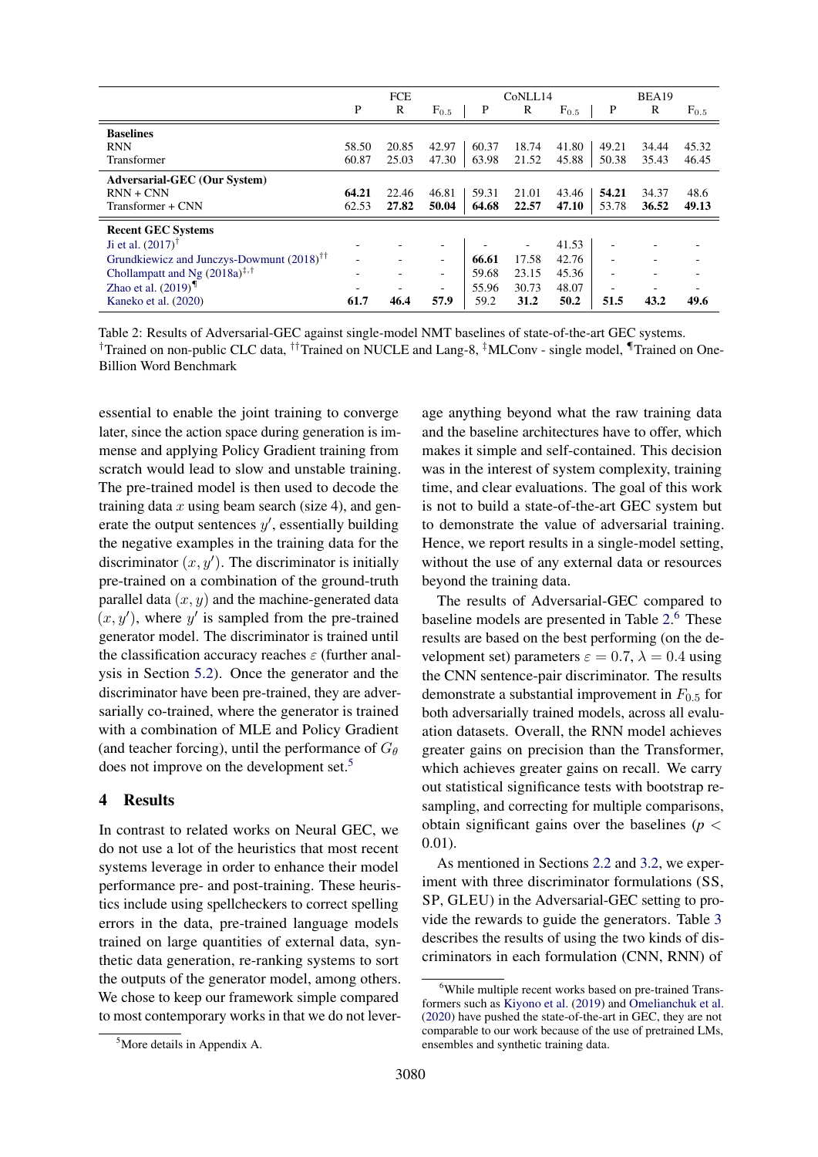<span id="page-5-1"></span>

|                                                       |       | <b>FCE</b>               |                          |       | CoNLL14 |           |       | BEA19                    |           |
|-------------------------------------------------------|-------|--------------------------|--------------------------|-------|---------|-----------|-------|--------------------------|-----------|
|                                                       | P     | R                        | $F_{0.5}$                | P     | R       | $F_{0.5}$ | P     | R                        | $F_{0.5}$ |
| <b>Baselines</b>                                      |       |                          |                          |       |         |           |       |                          |           |
| <b>RNN</b>                                            | 58.50 | 20.85                    | 42.97                    | 60.37 | 18.74   | 41.80     | 49.21 | 34.44                    | 45.32     |
| Transformer                                           | 60.87 | 25.03                    | 47.30                    | 63.98 | 21.52   | 45.88     | 50.38 | 35.43                    | 46.45     |
| <b>Adversarial-GEC</b> (Our System)                   |       |                          |                          |       |         |           |       |                          |           |
| $RNN + CNN$                                           | 64.21 | 22.46                    | 46.81                    | 59.31 | 21.01   | 43.46     | 54.21 | 34.37                    | 48.6      |
| Transformer + CNN                                     | 62.53 | 27.82                    | 50.04                    | 64.68 | 22.57   | 47.10     | 53.78 | 36.52                    | 49.13     |
| <b>Recent GEC Systems</b>                             |       |                          |                          |       |         |           |       |                          |           |
| Ji et al. $(2017)^{T}$                                |       |                          | $\overline{\phantom{a}}$ |       |         | 41.53     |       |                          |           |
| Grundkiewicz and Junczys-Dowmunt (2018) <sup>††</sup> | -     |                          | $\overline{\phantom{a}}$ | 66.61 | 17.58   | 42.76     |       |                          |           |
| Chollampatt and Ng $(2018a)^{\ddagger,\dagger}$       | -     | $\overline{\phantom{a}}$ | $\overline{\phantom{a}}$ | 59.68 | 23.15   | 45.36     | ۰     | $\overline{\phantom{0}}$ |           |
| Zhao et al. $(2019)$ <sup>¶</sup>                     |       |                          | $\overline{\phantom{a}}$ | 55.96 | 30.73   | 48.07     |       |                          |           |
| Kaneko et al. (2020)                                  | 61.7  | 46.4                     | 57.9                     | 59.2  | 31.2    | 50.2      | 51.5  | 43.2                     | 49.6      |

Table 2: Results of Adversarial-GEC against single-model NMT baselines of state-of-the-art GEC systems. †Trained on non-public CLC data, ††Trained on NUCLE and Lang-8, ‡MLConv - single model, ¶Trained on One-Billion Word Benchmark

essential to enable the joint training to converge later, since the action space during generation is immense and applying Policy Gradient training from scratch would lead to slow and unstable training. The pre-trained model is then used to decode the training data  $x$  using beam search (size 4), and generate the output sentences  $y'$ , essentially building the negative examples in the training data for the discriminator  $(x, y')$ . The discriminator is initially pre-trained on a combination of the ground-truth parallel data  $(x, y)$  and the machine-generated data  $(x, y')$ , where y' is sampled from the pre-trained generator model. The discriminator is trained until the classification accuracy reaches  $\varepsilon$  (further analysis in Section [5.2\)](#page-6-0). Once the generator and the discriminator have been pre-trained, they are adversarially co-trained, where the generator is trained with a combination of MLE and Policy Gradient (and teacher forcing), until the performance of  $G_{\theta}$ does not improve on the development set.<sup>[5](#page-5-0)</sup>

## 4 Results

In contrast to related works on Neural GEC, we do not use a lot of the heuristics that most recent systems leverage in order to enhance their model performance pre- and post-training. These heuristics include using spellcheckers to correct spelling errors in the data, pre-trained language models trained on large quantities of external data, synthetic data generation, re-ranking systems to sort the outputs of the generator model, among others. We chose to keep our framework simple compared to most contemporary works in that we do not lever-

age anything beyond what the raw training data and the baseline architectures have to offer, which makes it simple and self-contained. This decision was in the interest of system complexity, training time, and clear evaluations. The goal of this work is not to build a state-of-the-art GEC system but to demonstrate the value of adversarial training. Hence, we report results in a single-model setting, without the use of any external data or resources beyond the training data.

The results of Adversarial-GEC compared to baseline models are presented in Table [2.](#page-5-1) [6](#page-5-2) These results are based on the best performing (on the development set) parameters  $\varepsilon = 0.7$ ,  $\lambda = 0.4$  using the CNN sentence-pair discriminator. The results demonstrate a substantial improvement in  $F_{0.5}$  for both adversarially trained models, across all evaluation datasets. Overall, the RNN model achieves greater gains on precision than the Transformer, which achieves greater gains on recall. We carry out statistical significance tests with bootstrap resampling, and correcting for multiple comparisons, obtain significant gains over the baselines ( $p <$ 0.01).

As mentioned in Sections [2.2](#page-2-2) and [3.2,](#page-4-2) we experiment with three discriminator formulations (SS, SP, GLEU) in the Adversarial-GEC setting to provide the rewards to guide the generators. Table [3](#page-6-1) describes the results of using the two kinds of discriminators in each formulation (CNN, RNN) of

<span id="page-5-2"></span><sup>&</sup>lt;sup>6</sup>While multiple recent works based on pre-trained Transformers such as [Kiyono et al.](#page-10-16) [\(2019\)](#page-10-16) and [Omelianchuk et al.](#page-11-16) [\(2020\)](#page-11-16) have pushed the state-of-the-art in GEC, they are not comparable to our work because of the use of pretrained LMs, ensembles and synthetic training data.

<span id="page-5-0"></span><sup>5</sup>More details in Appendix A.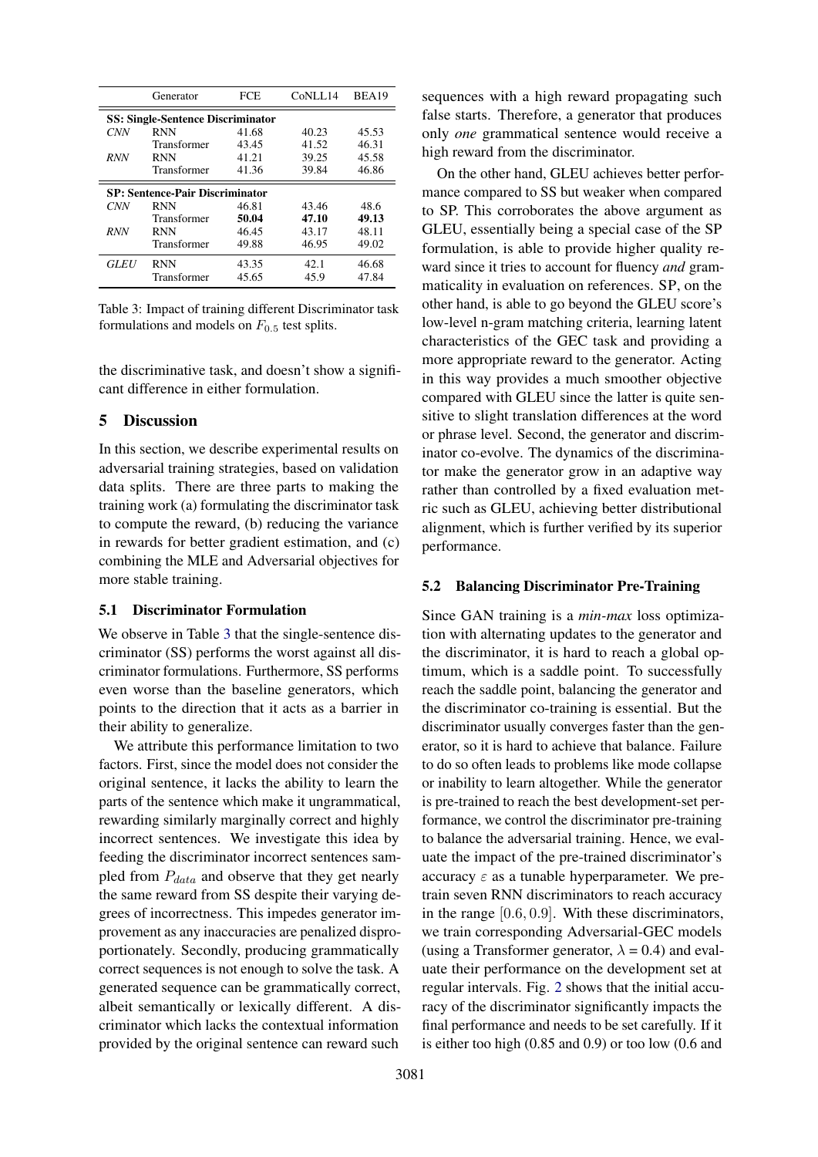<span id="page-6-1"></span>

|                                          | Generator   | FCE   | CoNLL14 | BEA19 |  |  |  |  |  |  |
|------------------------------------------|-------------|-------|---------|-------|--|--|--|--|--|--|
| <b>SS: Single-Sentence Discriminator</b> |             |       |         |       |  |  |  |  |  |  |
| <b>CNN</b>                               | <b>RNN</b>  | 41.68 | 40.23   | 45.53 |  |  |  |  |  |  |
|                                          | Transformer | 43.45 | 41.52   | 46.31 |  |  |  |  |  |  |
| <b>RNN</b>                               | <b>RNN</b>  | 41.21 | 39.25   | 45.58 |  |  |  |  |  |  |
|                                          | Transformer | 41.36 | 39.84   | 46.86 |  |  |  |  |  |  |
| <b>SP: Sentence-Pair Discriminator</b>   |             |       |         |       |  |  |  |  |  |  |
| <b>CNN</b>                               | <b>RNN</b>  | 46.81 | 43.46   | 48.6  |  |  |  |  |  |  |
|                                          | Transformer | 50.04 | 47.10   | 49.13 |  |  |  |  |  |  |
| <b>RNN</b>                               | <b>RNN</b>  | 46.45 | 43.17   | 48.11 |  |  |  |  |  |  |
|                                          | Transformer | 49.88 | 46.95   | 49.02 |  |  |  |  |  |  |
| <i><b>GLEU</b></i>                       | <b>RNN</b>  | 43.35 | 42.1    | 46.68 |  |  |  |  |  |  |
|                                          | Transformer | 45.65 | 45.9    | 47.84 |  |  |  |  |  |  |

Table 3: Impact of training different Discriminator task formulations and models on  $F_{0.5}$  test splits.

the discriminative task, and doesn't show a significant difference in either formulation.

#### 5 Discussion

In this section, we describe experimental results on adversarial training strategies, based on validation data splits. There are three parts to making the training work (a) formulating the discriminator task to compute the reward, (b) reducing the variance in rewards for better gradient estimation, and (c) combining the MLE and Adversarial objectives for more stable training.

### 5.1 Discriminator Formulation

We observe in Table [3](#page-6-1) that the single-sentence discriminator (SS) performs the worst against all discriminator formulations. Furthermore, SS performs even worse than the baseline generators, which points to the direction that it acts as a barrier in their ability to generalize.

We attribute this performance limitation to two factors. First, since the model does not consider the original sentence, it lacks the ability to learn the parts of the sentence which make it ungrammatical, rewarding similarly marginally correct and highly incorrect sentences. We investigate this idea by feeding the discriminator incorrect sentences sampled from  $P_{data}$  and observe that they get nearly the same reward from SS despite their varying degrees of incorrectness. This impedes generator improvement as any inaccuracies are penalized disproportionately. Secondly, producing grammatically correct sequences is not enough to solve the task. A generated sequence can be grammatically correct, albeit semantically or lexically different. A discriminator which lacks the contextual information provided by the original sentence can reward such

sequences with a high reward propagating such false starts. Therefore, a generator that produces only *one* grammatical sentence would receive a high reward from the discriminator.

On the other hand, GLEU achieves better performance compared to SS but weaker when compared to SP. This corroborates the above argument as GLEU, essentially being a special case of the SP formulation, is able to provide higher quality reward since it tries to account for fluency *and* grammaticality in evaluation on references. SP, on the other hand, is able to go beyond the GLEU score's low-level n-gram matching criteria, learning latent characteristics of the GEC task and providing a more appropriate reward to the generator. Acting in this way provides a much smoother objective compared with GLEU since the latter is quite sensitive to slight translation differences at the word or phrase level. Second, the generator and discriminator co-evolve. The dynamics of the discriminator make the generator grow in an adaptive way rather than controlled by a fixed evaluation metric such as GLEU, achieving better distributional alignment, which is further verified by its superior performance.

### <span id="page-6-0"></span>5.2 Balancing Discriminator Pre-Training

Since GAN training is a *min-max* loss optimization with alternating updates to the generator and the discriminator, it is hard to reach a global optimum, which is a saddle point. To successfully reach the saddle point, balancing the generator and the discriminator co-training is essential. But the discriminator usually converges faster than the generator, so it is hard to achieve that balance. Failure to do so often leads to problems like mode collapse or inability to learn altogether. While the generator is pre-trained to reach the best development-set performance, we control the discriminator pre-training to balance the adversarial training. Hence, we evaluate the impact of the pre-trained discriminator's accuracy  $\varepsilon$  as a tunable hyperparameter. We pretrain seven RNN discriminators to reach accuracy in the range [0.6, 0.9]. With these discriminators, we train corresponding Adversarial-GEC models (using a Transformer generator,  $\lambda = 0.4$ ) and evaluate their performance on the development set at regular intervals. Fig. [2](#page-7-2) shows that the initial accuracy of the discriminator significantly impacts the final performance and needs to be set carefully. If it is either too high (0.85 and 0.9) or too low (0.6 and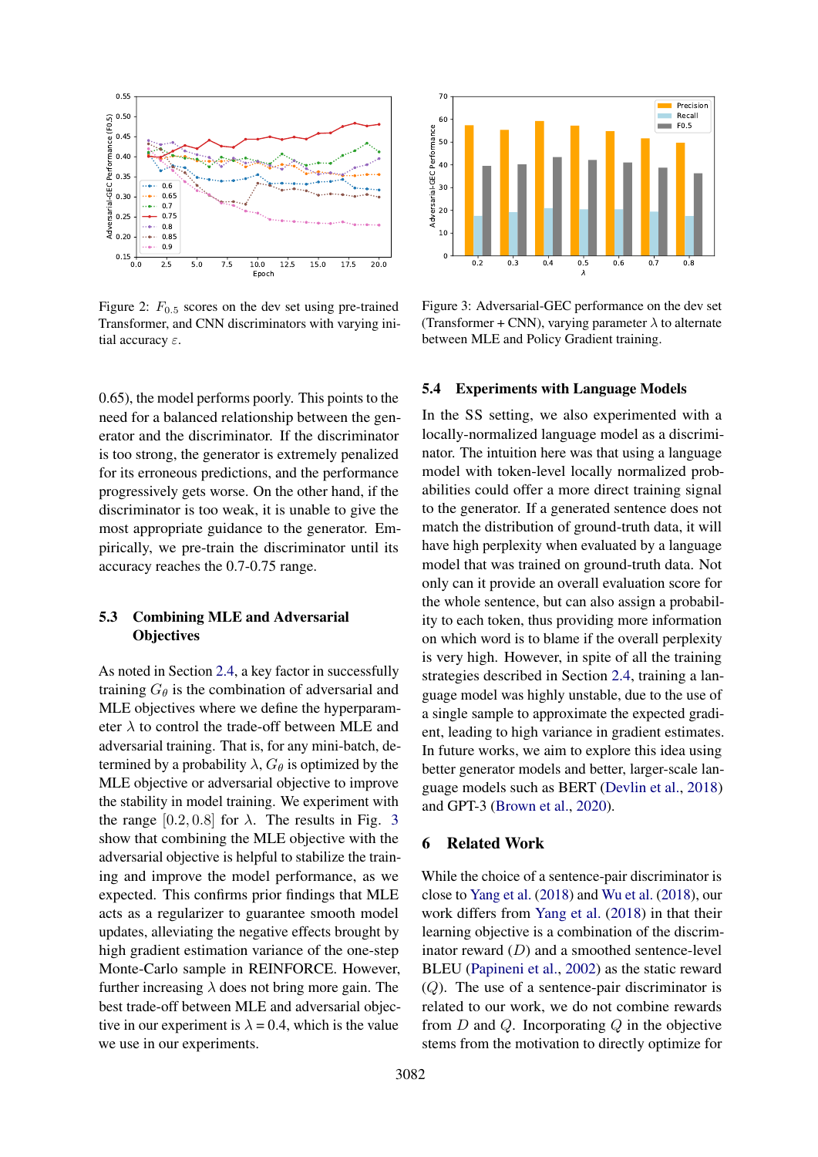<span id="page-7-2"></span>

Figure 2:  $F_{0.5}$  scores on the dev set using pre-trained Transformer, and CNN discriminators with varying initial accuracy  $\varepsilon$ .

0.65), the model performs poorly. This points to the need for a balanced relationship between the generator and the discriminator. If the discriminator is too strong, the generator is extremely penalized for its erroneous predictions, and the performance progressively gets worse. On the other hand, if the discriminator is too weak, it is unable to give the most appropriate guidance to the generator. Empirically, we pre-train the discriminator until its accuracy reaches the 0.7-0.75 range.

## <span id="page-7-0"></span>5.3 Combining MLE and Adversarial **Objectives**

As noted in Section [2.4,](#page-3-2) a key factor in successfully training  $G_{\theta}$  is the combination of adversarial and MLE objectives where we define the hyperparameter  $\lambda$  to control the trade-off between MLE and adversarial training. That is, for any mini-batch, determined by a probability  $\lambda$ ,  $G_{\theta}$  is optimized by the MLE objective or adversarial objective to improve the stability in model training. We experiment with the range  $[0.2, 0.8]$  for  $\lambda$ . The results in Fig. [3](#page-7-3) show that combining the MLE objective with the adversarial objective is helpful to stabilize the training and improve the model performance, as we expected. This confirms prior findings that MLE acts as a regularizer to guarantee smooth model updates, alleviating the negative effects brought by high gradient estimation variance of the one-step Monte-Carlo sample in REINFORCE. However, further increasing  $\lambda$  does not bring more gain. The best trade-off between MLE and adversarial objective in our experiment is  $\lambda = 0.4$ , which is the value we use in our experiments.

<span id="page-7-3"></span>

Figure 3: Adversarial-GEC performance on the dev set (Transformer + CNN), varying parameter  $\lambda$  to alternate between MLE and Policy Gradient training.

#### <span id="page-7-1"></span>5.4 Experiments with Language Models

In the SS setting, we also experimented with a locally-normalized language model as a discriminator. The intuition here was that using a language model with token-level locally normalized probabilities could offer a more direct training signal to the generator. If a generated sentence does not match the distribution of ground-truth data, it will have high perplexity when evaluated by a language model that was trained on ground-truth data. Not only can it provide an overall evaluation score for the whole sentence, but can also assign a probability to each token, thus providing more information on which word is to blame if the overall perplexity is very high. However, in spite of all the training strategies described in Section [2.4,](#page-3-2) training a language model was highly unstable, due to the use of a single sample to approximate the expected gradient, leading to high variance in gradient estimates. In future works, we aim to explore this idea using better generator models and better, larger-scale language models such as BERT [\(Devlin et al.,](#page-9-13) [2018\)](#page-9-13) and GPT-3 [\(Brown et al.,](#page-8-6) [2020\)](#page-8-6).

#### 6 Related Work

While the choice of a sentence-pair discriminator is close to [Yang et al.](#page-12-7) [\(2018\)](#page-12-7) and [Wu et al.](#page-12-6) [\(2018\)](#page-12-6), our work differs from [Yang et al.](#page-12-7) [\(2018\)](#page-12-7) in that their learning objective is a combination of the discriminator reward  $(D)$  and a smoothed sentence-level BLEU [\(Papineni et al.,](#page-11-17) [2002\)](#page-11-17) as the static reward (Q). The use of a sentence-pair discriminator is related to our work, we do not combine rewards from  $D$  and  $Q$ . Incorporating  $Q$  in the objective stems from the motivation to directly optimize for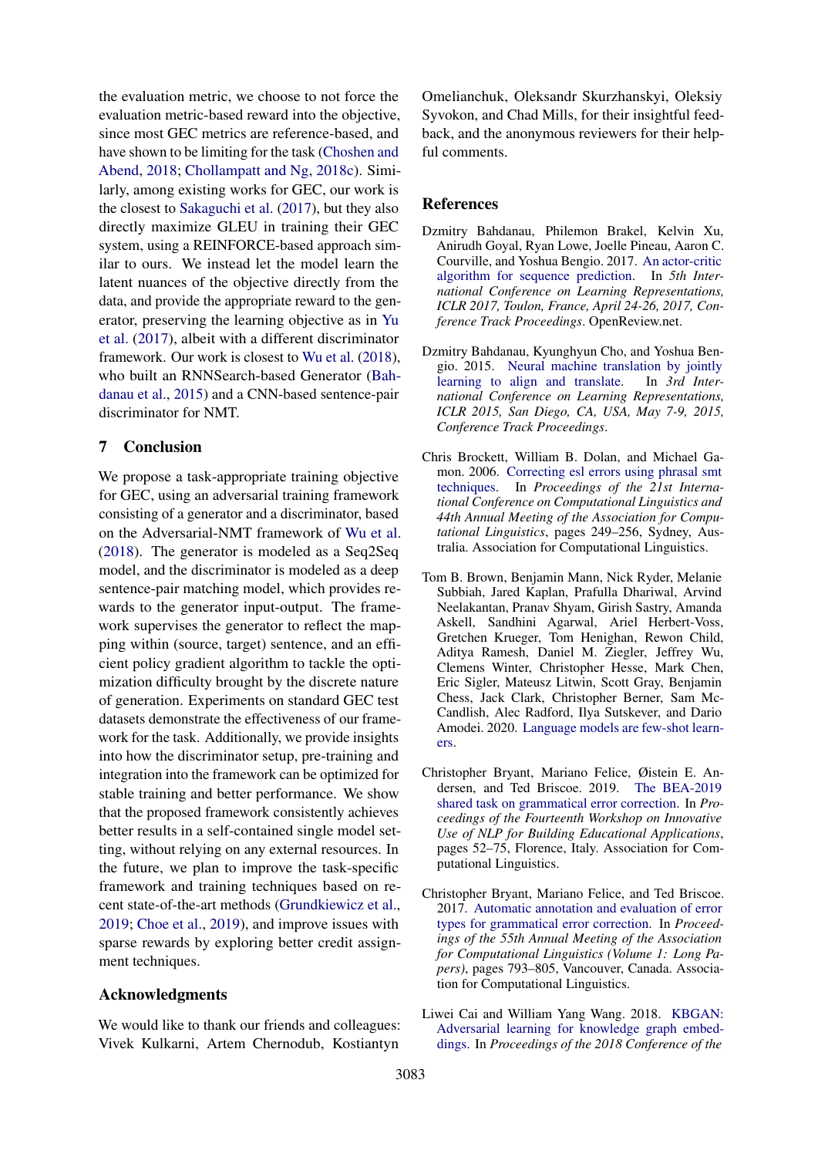the evaluation metric, we choose to not force the evaluation metric-based reward into the objective, since most GEC metrics are reference-based, and have shown to be limiting for the task [\(Choshen and](#page-9-14) [Abend,](#page-9-14) [2018;](#page-9-14) [Chollampatt and Ng,](#page-9-15) [2018c\)](#page-9-15). Similarly, among existing works for GEC, our work is the closest to [Sakaguchi et al.](#page-11-7) [\(2017\)](#page-11-7), but they also directly maximize GLEU in training their GEC system, using a REINFORCE-based approach similar to ours. We instead let the model learn the latent nuances of the objective directly from the data, and provide the appropriate reward to the generator, preserving the learning objective as in [Yu](#page-12-9) [et al.](#page-12-9) [\(2017\)](#page-12-9), albeit with a different discriminator framework. Our work is closest to [Wu et al.](#page-12-6) [\(2018\)](#page-12-6), who built an RNNSearch-based Generator [\(Bah](#page-8-1)[danau et al.,](#page-8-1) [2015\)](#page-8-1) and a CNN-based sentence-pair discriminator for NMT.

## 7 Conclusion

We propose a task-appropriate training objective for GEC, using an adversarial training framework consisting of a generator and a discriminator, based on the Adversarial-NMT framework of [Wu et al.](#page-12-6) [\(2018\)](#page-12-6). The generator is modeled as a Seq2Seq model, and the discriminator is modeled as a deep sentence-pair matching model, which provides rewards to the generator input-output. The framework supervises the generator to reflect the mapping within (source, target) sentence, and an efficient policy gradient algorithm to tackle the optimization difficulty brought by the discrete nature of generation. Experiments on standard GEC test datasets demonstrate the effectiveness of our framework for the task. Additionally, we provide insights into how the discriminator setup, pre-training and integration into the framework can be optimized for stable training and better performance. We show that the proposed framework consistently achieves better results in a self-contained single model setting, without relying on any external resources. In the future, we plan to improve the task-specific framework and training techniques based on recent state-of-the-art methods [\(Grundkiewicz et al.,](#page-10-13) [2019;](#page-10-13) [Choe et al.,](#page-9-16) [2019\)](#page-9-16), and improve issues with sparse rewards by exploring better credit assignment techniques.

### Acknowledgments

We would like to thank our friends and colleagues: Vivek Kulkarni, Artem Chernodub, Kostiantyn

Omelianchuk, Oleksandr Skurzhanskyi, Oleksiy Syvokon, and Chad Mills, for their insightful feedback, and the anonymous reviewers for their helpful comments.

### References

- <span id="page-8-3"></span>Dzmitry Bahdanau, Philemon Brakel, Kelvin Xu, Anirudh Goyal, Ryan Lowe, Joelle Pineau, Aaron C. Courville, and Yoshua Bengio. 2017. [An actor-critic](https://openreview.net/forum?id=SJDaqqveg) [algorithm for sequence prediction.](https://openreview.net/forum?id=SJDaqqveg) In *5th International Conference on Learning Representations, ICLR 2017, Toulon, France, April 24-26, 2017, Conference Track Proceedings*. OpenReview.net.
- <span id="page-8-1"></span>Dzmitry Bahdanau, Kyunghyun Cho, and Yoshua Bengio. 2015. [Neural machine translation by jointly](http://arxiv.org/abs/1409.0473) [learning to align and translate.](http://arxiv.org/abs/1409.0473) In *3rd International Conference on Learning Representations, ICLR 2015, San Diego, CA, USA, May 7-9, 2015, Conference Track Proceedings*.
- <span id="page-8-0"></span>Chris Brockett, William B. Dolan, and Michael Gamon. 2006. [Correcting esl errors using phrasal smt](https://doi.org/10.3115/1220175.1220207) [techniques.](https://doi.org/10.3115/1220175.1220207) In *Proceedings of the 21st International Conference on Computational Linguistics and 44th Annual Meeting of the Association for Computational Linguistics*, pages 249–256, Sydney, Australia. Association for Computational Linguistics.
- <span id="page-8-6"></span>Tom B. Brown, Benjamin Mann, Nick Ryder, Melanie Subbiah, Jared Kaplan, Prafulla Dhariwal, Arvind Neelakantan, Pranav Shyam, Girish Sastry, Amanda Askell, Sandhini Agarwal, Ariel Herbert-Voss, Gretchen Krueger, Tom Henighan, Rewon Child, Aditya Ramesh, Daniel M. Ziegler, Jeffrey Wu, Clemens Winter, Christopher Hesse, Mark Chen, Eric Sigler, Mateusz Litwin, Scott Gray, Benjamin Chess, Jack Clark, Christopher Berner, Sam Mc-Candlish, Alec Radford, Ilya Sutskever, and Dario Amodei. 2020. [Language models are few-shot learn](http://arxiv.org/abs/2005.14165)[ers.](http://arxiv.org/abs/2005.14165)
- <span id="page-8-4"></span>Christopher Bryant, Mariano Felice, Øistein E. Andersen, and Ted Briscoe. 2019. [The BEA-2019](https://doi.org/10.18653/v1/W19-4406) [shared task on grammatical error correction.](https://doi.org/10.18653/v1/W19-4406) In *Proceedings of the Fourteenth Workshop on Innovative Use of NLP for Building Educational Applications*, pages 52–75, Florence, Italy. Association for Computational Linguistics.
- <span id="page-8-5"></span>Christopher Bryant, Mariano Felice, and Ted Briscoe. 2017. [Automatic annotation and evaluation of error](https://doi.org/10.18653/v1/P17-1074) [types for grammatical error correction.](https://doi.org/10.18653/v1/P17-1074) In *Proceedings of the 55th Annual Meeting of the Association for Computational Linguistics (Volume 1: Long Papers)*, pages 793–805, Vancouver, Canada. Association for Computational Linguistics.
- <span id="page-8-2"></span>Liwei Cai and William Yang Wang. 2018. [KBGAN:](https://doi.org/10.18653/v1/N18-1133) [Adversarial learning for knowledge graph embed](https://doi.org/10.18653/v1/N18-1133)[dings.](https://doi.org/10.18653/v1/N18-1133) In *Proceedings of the 2018 Conference of the*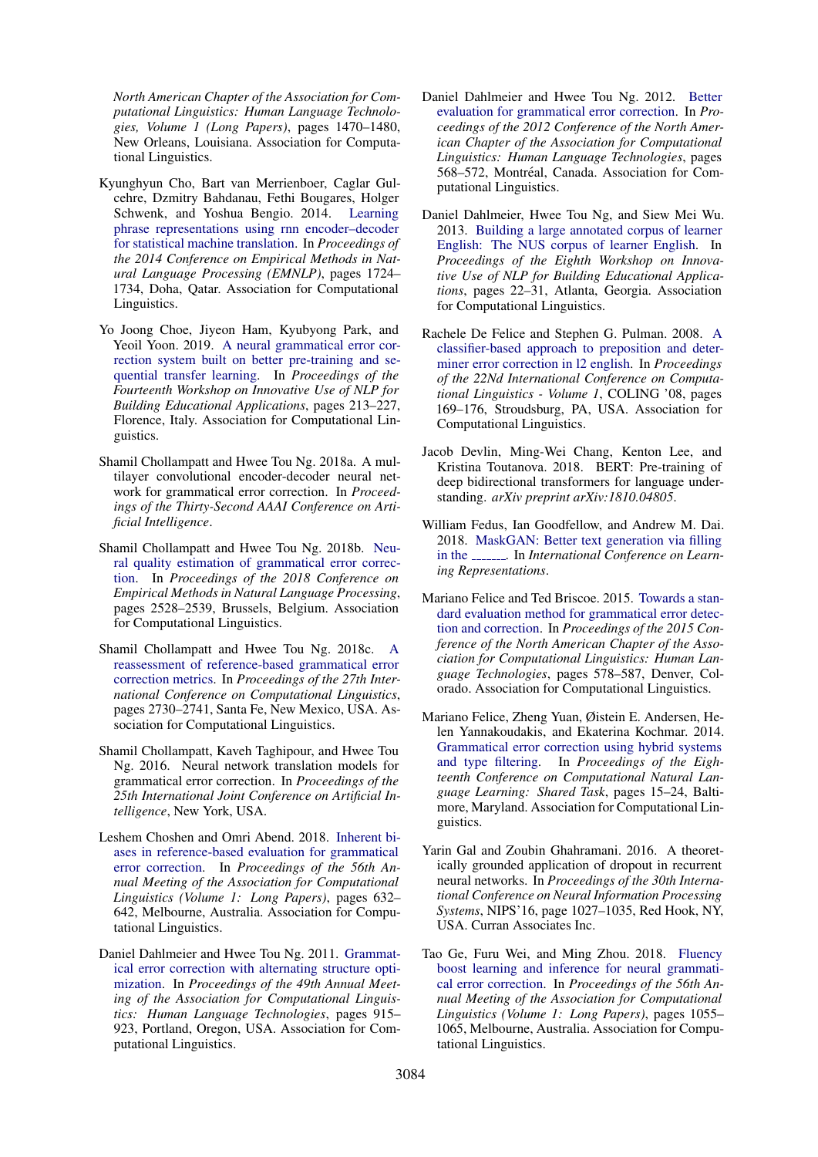*North American Chapter of the Association for Computational Linguistics: Human Language Technologies, Volume 1 (Long Papers)*, pages 1470–1480, New Orleans, Louisiana. Association for Computational Linguistics.

- <span id="page-9-3"></span>Kyunghyun Cho, Bart van Merrienboer, Caglar Gulcehre, Dzmitry Bahdanau, Fethi Bougares, Holger Schwenk, and Yoshua Bengio. 2014. [Learning](https://doi.org/10.3115/v1/D14-1179) [phrase representations using rnn encoder–decoder](https://doi.org/10.3115/v1/D14-1179) [for statistical machine translation.](https://doi.org/10.3115/v1/D14-1179) In *Proceedings of the 2014 Conference on Empirical Methods in Natural Language Processing (EMNLP)*, pages 1724– 1734, Doha, Qatar. Association for Computational Linguistics.
- <span id="page-9-16"></span>Yo Joong Choe, Jiyeon Ham, Kyubyong Park, and Yeoil Yoon. 2019. [A neural grammatical error cor](https://doi.org/10.18653/v1/W19-4423)[rection system built on better pre-training and se](https://doi.org/10.18653/v1/W19-4423)[quential transfer learning.](https://doi.org/10.18653/v1/W19-4423) In *Proceedings of the Fourteenth Workshop on Innovative Use of NLP for Building Educational Applications*, pages 213–227, Florence, Italy. Association for Computational Linguistics.
- <span id="page-9-6"></span>Shamil Chollampatt and Hwee Tou Ng. 2018a. A multilayer convolutional encoder-decoder neural network for grammatical error correction. In *Proceedings of the Thirty-Second AAAI Conference on Artificial Intelligence*.
- <span id="page-9-7"></span>Shamil Chollampatt and Hwee Tou Ng. 2018b. [Neu](https://www.aclweb.org/anthology/D18-1274)[ral quality estimation of grammatical error correc](https://www.aclweb.org/anthology/D18-1274)[tion.](https://www.aclweb.org/anthology/D18-1274) In *Proceedings of the 2018 Conference on Empirical Methods in Natural Language Processing*, pages 2528–2539, Brussels, Belgium. Association for Computational Linguistics.
- <span id="page-9-15"></span>Shamil Chollampatt and Hwee Tou Ng. 2018c. [A](https://www.aclweb.org/anthology/C18-1231) [reassessment of reference-based grammatical error](https://www.aclweb.org/anthology/C18-1231) [correction metrics.](https://www.aclweb.org/anthology/C18-1231) In *Proceedings of the 27th International Conference on Computational Linguistics*, pages 2730–2741, Santa Fe, New Mexico, USA. Association for Computational Linguistics.
- <span id="page-9-4"></span>Shamil Chollampatt, Kaveh Taghipour, and Hwee Tou Ng. 2016. Neural network translation models for grammatical error correction. In *Proceedings of the 25th International Joint Conference on Artificial Intelligence*, New York, USA.
- <span id="page-9-14"></span>Leshem Choshen and Omri Abend. 2018. [Inherent bi](https://www.aclweb.org/anthology/P18-1059)[ases in reference-based evaluation for grammatical](https://www.aclweb.org/anthology/P18-1059) [error correction.](https://www.aclweb.org/anthology/P18-1059) In *Proceedings of the 56th Annual Meeting of the Association for Computational Linguistics (Volume 1: Long Papers)*, pages 632– 642, Melbourne, Australia. Association for Computational Linguistics.
- <span id="page-9-1"></span>Daniel Dahlmeier and Hwee Tou Ng. 2011. [Grammat](https://www.aclweb.org/anthology/P11-1092)[ical error correction with alternating structure opti](https://www.aclweb.org/anthology/P11-1092)[mization.](https://www.aclweb.org/anthology/P11-1092) In *Proceedings of the 49th Annual Meeting of the Association for Computational Linguistics: Human Language Technologies*, pages 915– 923, Portland, Oregon, USA. Association for Computational Linguistics.
- <span id="page-9-8"></span>Daniel Dahlmeier and Hwee Tou Ng. 2012. [Better](https://www.aclweb.org/anthology/N12-1067) [evaluation for grammatical error correction.](https://www.aclweb.org/anthology/N12-1067) In *Proceedings of the 2012 Conference of the North American Chapter of the Association for Computational Linguistics: Human Language Technologies*, pages 568–572, Montréal, Canada. Association for Computational Linguistics.
- <span id="page-9-10"></span>Daniel Dahlmeier, Hwee Tou Ng, and Siew Mei Wu. 2013. [Building a large annotated corpus of learner](https://www.aclweb.org/anthology/W13-1703) [English: The NUS corpus of learner English.](https://www.aclweb.org/anthology/W13-1703) In *Proceedings of the Eighth Workshop on Innovative Use of NLP for Building Educational Applications*, pages 22–31, Atlanta, Georgia. Association for Computational Linguistics.
- <span id="page-9-0"></span>Rachele De Felice and Stephen G. Pulman. 2008. [A](http://dl.acm.org/citation.cfm?id=1599081.1599103) [classifier-based approach to preposition and deter](http://dl.acm.org/citation.cfm?id=1599081.1599103)[miner error correction in l2 english.](http://dl.acm.org/citation.cfm?id=1599081.1599103) In *Proceedings of the 22Nd International Conference on Computational Linguistics - Volume 1*, COLING '08, pages 169–176, Stroudsburg, PA, USA. Association for Computational Linguistics.
- <span id="page-9-13"></span>Jacob Devlin, Ming-Wei Chang, Kenton Lee, and Kristina Toutanova. 2018. BERT: Pre-training of deep bidirectional transformers for language understanding. *arXiv preprint arXiv:1810.04805*.
- <span id="page-9-12"></span>William Fedus, Ian Goodfellow, and Andrew M. Dai. 2018. [MaskGAN: Better text generation via filling](https://openreview.net/forum?id=ByOExmWAb) [in the](https://openreview.net/forum?id=ByOExmWAb) **\_\_\_\_\_\_**. In *International Conference on Learning Representations*.
- <span id="page-9-9"></span>Mariano Felice and Ted Briscoe. 2015. [Towards a stan](https://doi.org/10.3115/v1/N15-1060)[dard evaluation method for grammatical error detec](https://doi.org/10.3115/v1/N15-1060)[tion and correction.](https://doi.org/10.3115/v1/N15-1060) In *Proceedings of the 2015 Conference of the North American Chapter of the Association for Computational Linguistics: Human Language Technologies*, pages 578–587, Denver, Colorado. Association for Computational Linguistics.
- <span id="page-9-2"></span>Mariano Felice, Zheng Yuan, Øistein E. Andersen, Helen Yannakoudakis, and Ekaterina Kochmar. 2014. [Grammatical error correction using hybrid systems](https://doi.org/10.3115/v1/W14-1702) [and type filtering.](https://doi.org/10.3115/v1/W14-1702) In *Proceedings of the Eighteenth Conference on Computational Natural Language Learning: Shared Task*, pages 15–24, Baltimore, Maryland. Association for Computational Linguistics.
- <span id="page-9-11"></span>Yarin Gal and Zoubin Ghahramani. 2016. A theoretically grounded application of dropout in recurrent neural networks. In *Proceedings of the 30th International Conference on Neural Information Processing Systems*, NIPS'16, page 1027–1035, Red Hook, NY, USA. Curran Associates Inc.
- <span id="page-9-5"></span>Tao Ge, Furu Wei, and Ming Zhou. 2018. [Fluency](https://www.aclweb.org/anthology/P18-1097) [boost learning and inference for neural grammati](https://www.aclweb.org/anthology/P18-1097)[cal error correction.](https://www.aclweb.org/anthology/P18-1097) In *Proceedings of the 56th Annual Meeting of the Association for Computational Linguistics (Volume 1: Long Papers)*, pages 1055– 1065, Melbourne, Australia. Association for Computational Linguistics.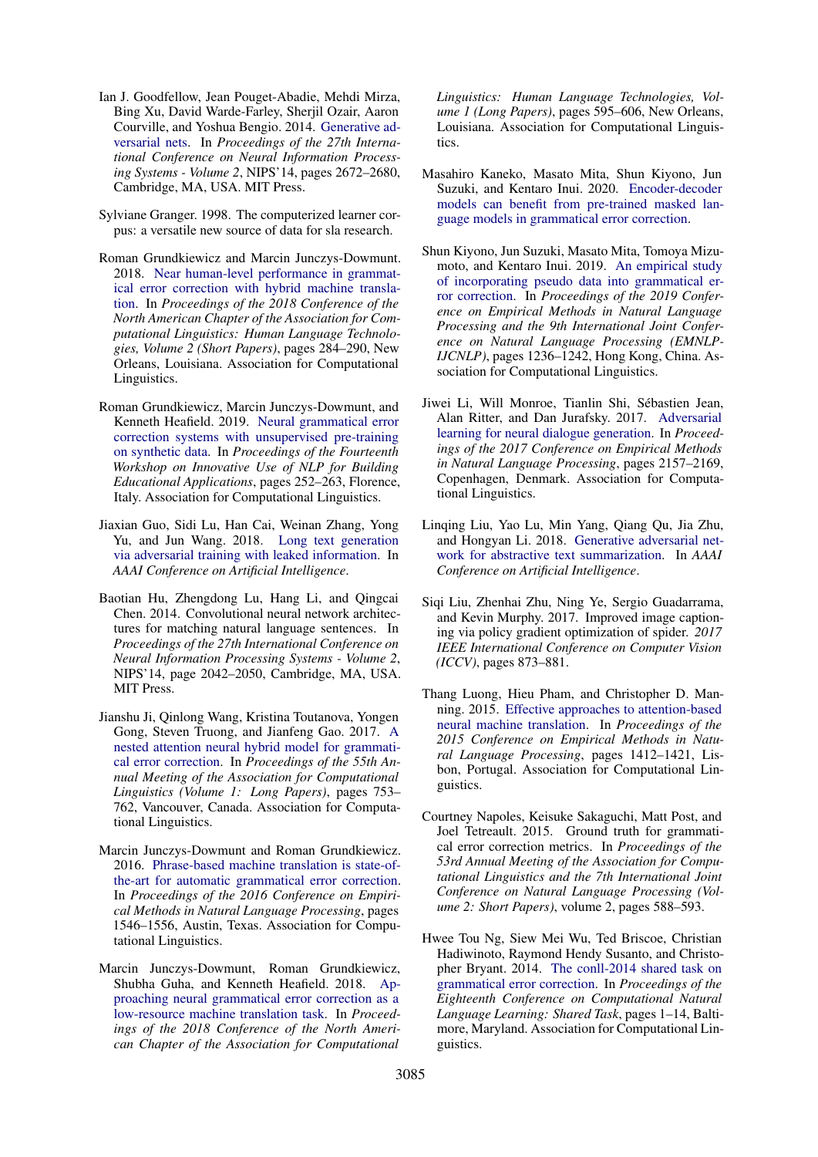- <span id="page-10-6"></span>Ian J. Goodfellow, Jean Pouget-Abadie, Mehdi Mirza, Bing Xu, David Warde-Farley, Sherjil Ozair, Aaron Courville, and Yoshua Bengio. 2014. [Generative ad](http://dl.acm.org/citation.cfm?id=2969033.2969125)[versarial nets.](http://dl.acm.org/citation.cfm?id=2969033.2969125) In *Proceedings of the 27th International Conference on Neural Information Processing Systems - Volume 2*, NIPS'14, pages 2672–2680, Cambridge, MA, USA. MIT Press.
- <span id="page-10-12"></span>Sylviane Granger. 1998. The computerized learner corpus: a versatile new source of data for sla research.
- <span id="page-10-2"></span>Roman Grundkiewicz and Marcin Junczys-Dowmunt. 2018. [Near human-level performance in grammat](https://doi.org/10.18653/v1/N18-2046)[ical error correction with hybrid machine transla](https://doi.org/10.18653/v1/N18-2046)[tion.](https://doi.org/10.18653/v1/N18-2046) In *Proceedings of the 2018 Conference of the North American Chapter of the Association for Computational Linguistics: Human Language Technologies, Volume 2 (Short Papers)*, pages 284–290, New Orleans, Louisiana. Association for Computational Linguistics.
- <span id="page-10-13"></span>Roman Grundkiewicz, Marcin Junczys-Dowmunt, and Kenneth Heafield. 2019. [Neural grammatical error](https://doi.org/10.18653/v1/W19-4427) [correction systems with unsupervised pre-training](https://doi.org/10.18653/v1/W19-4427) [on synthetic data.](https://doi.org/10.18653/v1/W19-4427) In *Proceedings of the Fourteenth Workshop on Innovative Use of NLP for Building Educational Applications*, pages 252–263, Florence, Italy. Association for Computational Linguistics.
- <span id="page-10-11"></span>Jiaxian Guo, Sidi Lu, Han Cai, Weinan Zhang, Yong Yu, and Jun Wang. 2018. [Long text generation](https://www.aaai.org/ocs/index.php/AAAI/AAAI18/paper/view/16360) [via adversarial training with leaked information.](https://www.aaai.org/ocs/index.php/AAAI/AAAI18/paper/view/16360) In *AAAI Conference on Artificial Intelligence*.
- <span id="page-10-14"></span>Baotian Hu, Zhengdong Lu, Hang Li, and Qingcai Chen. 2014. Convolutional neural network architectures for matching natural language sentences. In *Proceedings of the 27th International Conference on Neural Information Processing Systems - Volume 2*, NIPS'14, page 2042–2050, Cambridge, MA, USA. MIT Press.
- <span id="page-10-3"></span>Jianshu Ji, Qinlong Wang, Kristina Toutanova, Yongen Gong, Steven Truong, and Jianfeng Gao. 2017. [A](https://doi.org/10.18653/v1/P17-1070) [nested attention neural hybrid model for grammati](https://doi.org/10.18653/v1/P17-1070)[cal error correction.](https://doi.org/10.18653/v1/P17-1070) In *Proceedings of the 55th Annual Meeting of the Association for Computational Linguistics (Volume 1: Long Papers)*, pages 753– 762, Vancouver, Canada. Association for Computational Linguistics.
- <span id="page-10-1"></span>Marcin Junczys-Dowmunt and Roman Grundkiewicz. 2016. [Phrase-based machine translation is state-of](https://doi.org/10.18653/v1/D16-1161)[the-art for automatic grammatical error correction.](https://doi.org/10.18653/v1/D16-1161) In *Proceedings of the 2016 Conference on Empirical Methods in Natural Language Processing*, pages 1546–1556, Austin, Texas. Association for Computational Linguistics.
- <span id="page-10-4"></span>Marcin Junczys-Dowmunt, Roman Grundkiewicz, Shubha Guha, and Kenneth Heafield. 2018. [Ap](https://doi.org/10.18653/v1/N18-1055)[proaching neural grammatical error correction as a](https://doi.org/10.18653/v1/N18-1055) [low-resource machine translation task.](https://doi.org/10.18653/v1/N18-1055) In *Proceedings of the 2018 Conference of the North American Chapter of the Association for Computational*

*Linguistics: Human Language Technologies, Volume 1 (Long Papers)*, pages 595–606, New Orleans, Louisiana. Association for Computational Linguistics.

- <span id="page-10-15"></span>Masahiro Kaneko, Masato Mita, Shun Kiyono, Jun Suzuki, and Kentaro Inui. 2020. [Encoder-decoder](http://arxiv.org/abs/2005.00987) [models can benefit from pre-trained masked lan](http://arxiv.org/abs/2005.00987)[guage models in grammatical error correction.](http://arxiv.org/abs/2005.00987)
- <span id="page-10-16"></span>Shun Kiyono, Jun Suzuki, Masato Mita, Tomoya Mizumoto, and Kentaro Inui. 2019. [An empirical study](https://doi.org/10.18653/v1/D19-1119) [of incorporating pseudo data into grammatical er](https://doi.org/10.18653/v1/D19-1119)[ror correction.](https://doi.org/10.18653/v1/D19-1119) In *Proceedings of the 2019 Conference on Empirical Methods in Natural Language Processing and the 9th International Joint Conference on Natural Language Processing (EMNLP-IJCNLP)*, pages 1236–1242, Hong Kong, China. Association for Computational Linguistics.
- <span id="page-10-7"></span>Jiwei Li, Will Monroe, Tianlin Shi, Sebastien Jean, ´ Alan Ritter, and Dan Jurafsky. 2017. [Adversarial](https://doi.org/10.18653/v1/D17-1230) [learning for neural dialogue generation.](https://doi.org/10.18653/v1/D17-1230) In *Proceedings of the 2017 Conference on Empirical Methods in Natural Language Processing*, pages 2157–2169, Copenhagen, Denmark. Association for Computational Linguistics.
- <span id="page-10-8"></span>Linqing Liu, Yao Lu, Min Yang, Qiang Qu, Jia Zhu, and Hongyan Li. 2018. [Generative adversarial net](https://www.aaai.org/ocs/index.php/AAAI/AAAI18/paper/view/16238/16492)[work for abstractive text summarization.](https://www.aaai.org/ocs/index.php/AAAI/AAAI18/paper/view/16238/16492) In *AAAI Conference on Artificial Intelligence*.
- <span id="page-10-10"></span>Siqi Liu, Zhenhai Zhu, Ning Ye, Sergio Guadarrama, and Kevin Murphy. 2017. Improved image captioning via policy gradient optimization of spider. *2017 IEEE International Conference on Computer Vision (ICCV)*, pages 873–881.
- <span id="page-10-9"></span>Thang Luong, Hieu Pham, and Christopher D. Manning. 2015. [Effective approaches to attention-based](https://doi.org/10.18653/v1/D15-1166) [neural machine translation.](https://doi.org/10.18653/v1/D15-1166) In *Proceedings of the 2015 Conference on Empirical Methods in Natural Language Processing*, pages 1412–1421, Lisbon, Portugal. Association for Computational Linguistics.
- <span id="page-10-5"></span>Courtney Napoles, Keisuke Sakaguchi, Matt Post, and Joel Tetreault. 2015. Ground truth for grammatical error correction metrics. In *Proceedings of the 53rd Annual Meeting of the Association for Computational Linguistics and the 7th International Joint Conference on Natural Language Processing (Volume 2: Short Papers)*, volume 2, pages 588–593.
- <span id="page-10-0"></span>Hwee Tou Ng, Siew Mei Wu, Ted Briscoe, Christian Hadiwinoto, Raymond Hendy Susanto, and Christopher Bryant. 2014. [The conll-2014 shared task on](https://doi.org/10.3115/v1/W14-1701) [grammatical error correction.](https://doi.org/10.3115/v1/W14-1701) In *Proceedings of the Eighteenth Conference on Computational Natural Language Learning: Shared Task*, pages 1–14, Baltimore, Maryland. Association for Computational Linguistics.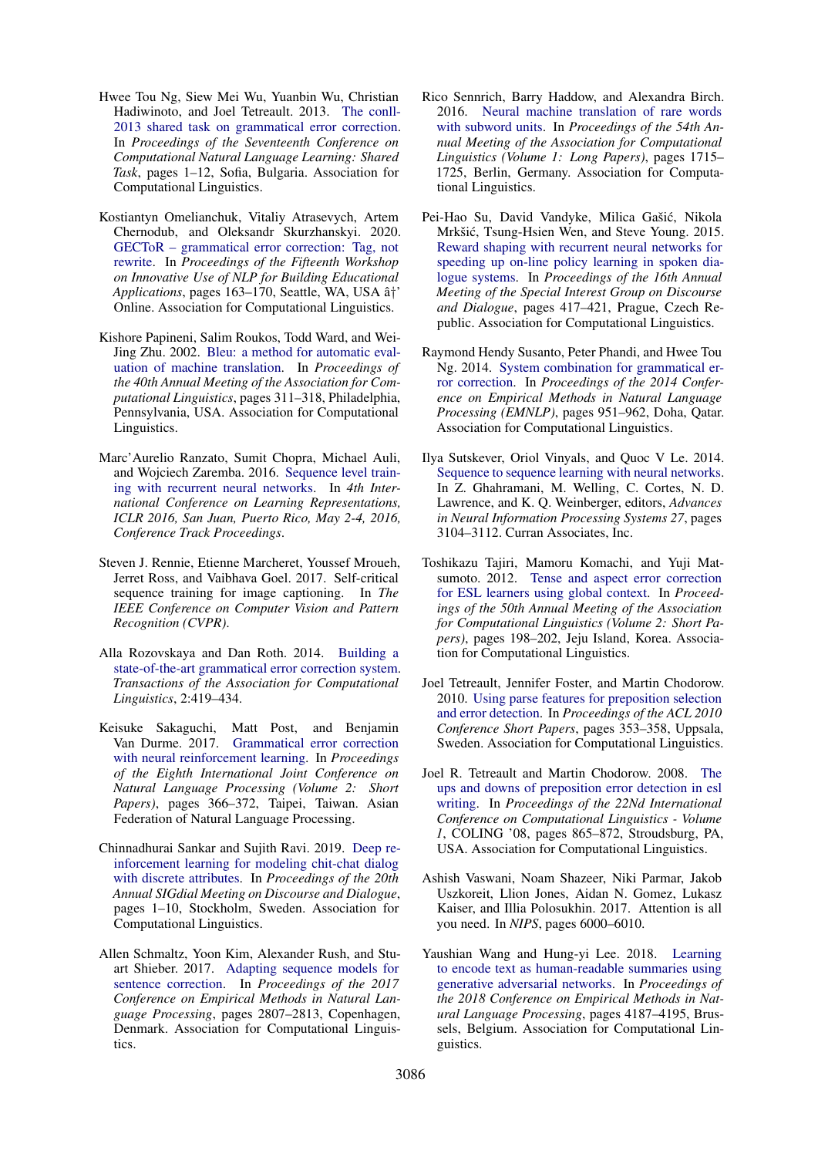- <span id="page-11-0"></span>Hwee Tou Ng, Siew Mei Wu, Yuanbin Wu, Christian Hadiwinoto, and Joel Tetreault. 2013. [The conll-](https://www.aclweb.org/anthology/W13-3601)[2013 shared task on grammatical error correction.](https://www.aclweb.org/anthology/W13-3601) In *Proceedings of the Seventeenth Conference on Computational Natural Language Learning: Shared Task*, pages 1–12, Sofia, Bulgaria. Association for Computational Linguistics.
- <span id="page-11-16"></span>Kostiantyn Omelianchuk, Vitaliy Atrasevych, Artem Chernodub, and Oleksandr Skurzhanskyi. 2020. [GECToR – grammatical error correction: Tag, not](https://doi.org/10.18653/v1/2020.bea-1.16) [rewrite.](https://doi.org/10.18653/v1/2020.bea-1.16) In *Proceedings of the Fifteenth Workshop on Innovative Use of NLP for Building Educational* Applications, pages 163–170, Seattle, WA, USA  $\hat{a}^{\dagger}$ ' Online. Association for Computational Linguistics.
- <span id="page-11-17"></span>Kishore Papineni, Salim Roukos, Todd Ward, and Wei-Jing Zhu. 2002. [Bleu: a method for automatic eval](https://doi.org/10.3115/1073083.1073135)[uation of machine translation.](https://doi.org/10.3115/1073083.1073135) In *Proceedings of the 40th Annual Meeting of the Association for Computational Linguistics*, pages 311–318, Philadelphia, Pennsylvania, USA. Association for Computational Linguistics.
- <span id="page-11-11"></span>Marc'Aurelio Ranzato, Sumit Chopra, Michael Auli, and Wojciech Zaremba. 2016. [Sequence level train](http://arxiv.org/abs/1511.06732)[ing with recurrent neural networks.](http://arxiv.org/abs/1511.06732) In *4th International Conference on Learning Representations, ICLR 2016, San Juan, Puerto Rico, May 2-4, 2016, Conference Track Proceedings*.
- <span id="page-11-10"></span>Steven J. Rennie, Etienne Marcheret, Youssef Mroueh, Jerret Ross, and Vaibhava Goel. 2017. Self-critical sequence training for image captioning. In *The IEEE Conference on Computer Vision and Pattern Recognition (CVPR)*.
- <span id="page-11-3"></span>Alla Rozovskaya and Dan Roth. 2014. [Building a](https://www.transacl.org/ojs/index.php/tacl/article/view/384) [state-of-the-art grammatical error correction system.](https://www.transacl.org/ojs/index.php/tacl/article/view/384) *Transactions of the Association for Computational Linguistics*, 2:419–434.
- <span id="page-11-7"></span>Keisuke Sakaguchi, Matt Post, and Benjamin Van Durme. 2017. [Grammatical error correction](https://www.aclweb.org/anthology/I17-2062) [with neural reinforcement learning.](https://www.aclweb.org/anthology/I17-2062) In *Proceedings of the Eighth International Joint Conference on Natural Language Processing (Volume 2: Short Papers)*, pages 366–372, Taipei, Taiwan. Asian Federation of Natural Language Processing.
- <span id="page-11-12"></span>Chinnadhurai Sankar and Sujith Ravi. 2019. [Deep re](https://doi.org/10.18653/v1/W19-5901)[inforcement learning for modeling chit-chat dialog](https://doi.org/10.18653/v1/W19-5901) [with discrete attributes.](https://doi.org/10.18653/v1/W19-5901) In *Proceedings of the 20th Annual SIGdial Meeting on Discourse and Dialogue*, pages 1–10, Stockholm, Sweden. Association for Computational Linguistics.
- <span id="page-11-6"></span>Allen Schmaltz, Yoon Kim, Alexander Rush, and Stuart Shieber. 2017. [Adapting sequence models for](https://doi.org/10.18653/v1/D17-1298) [sentence correction.](https://doi.org/10.18653/v1/D17-1298) In *Proceedings of the 2017 Conference on Empirical Methods in Natural Language Processing*, pages 2807–2813, Copenhagen, Denmark. Association for Computational Linguistics.
- <span id="page-11-15"></span>Rico Sennrich, Barry Haddow, and Alexandra Birch. 2016. [Neural machine translation of rare words](https://doi.org/10.18653/v1/P16-1162) [with subword units.](https://doi.org/10.18653/v1/P16-1162) In *Proceedings of the 54th Annual Meeting of the Association for Computational Linguistics (Volume 1: Long Papers)*, pages 1715– 1725, Berlin, Germany. Association for Computational Linguistics.
- <span id="page-11-13"></span>Pei-Hao Su, David Vandyke, Milica Gašić, Nikola Mrkšić, Tsung-Hsien Wen, and Steve Young. 2015. [Reward shaping with recurrent neural networks for](https://doi.org/10.18653/v1/W15-4655) [speeding up on-line policy learning in spoken dia](https://doi.org/10.18653/v1/W15-4655)[logue systems.](https://doi.org/10.18653/v1/W15-4655) In *Proceedings of the 16th Annual Meeting of the Special Interest Group on Discourse and Dialogue*, pages 417–421, Prague, Czech Republic. Association for Computational Linguistics.
- <span id="page-11-4"></span>Raymond Hendy Susanto, Peter Phandi, and Hwee Tou Ng. 2014. [System combination for grammatical er](https://doi.org/10.3115/v1/D14-1102)[ror correction.](https://doi.org/10.3115/v1/D14-1102) In *Proceedings of the 2014 Conference on Empirical Methods in Natural Language Processing (EMNLP)*, pages 951–962, Doha, Qatar. Association for Computational Linguistics.
- <span id="page-11-5"></span>Ilya Sutskever, Oriol Vinyals, and Quoc V Le. 2014. [Sequence to sequence learning with neural networks.](http://papers.nips.cc/paper/5346-sequence-to-sequence-learning-with-neural-networks.pdf) In Z. Ghahramani, M. Welling, C. Cortes, N. D. Lawrence, and K. Q. Weinberger, editors, *Advances in Neural Information Processing Systems 27*, pages 3104–3112. Curran Associates, Inc.
- <span id="page-11-14"></span>Toshikazu Tajiri, Mamoru Komachi, and Yuji Matsumoto. 2012. [Tense and aspect error correction](https://www.aclweb.org/anthology/P12-2039) [for ESL learners using global context.](https://www.aclweb.org/anthology/P12-2039) In *Proceedings of the 50th Annual Meeting of the Association for Computational Linguistics (Volume 2: Short Papers)*, pages 198–202, Jeju Island, Korea. Association for Computational Linguistics.
- <span id="page-11-2"></span>Joel Tetreault, Jennifer Foster, and Martin Chodorow. 2010. [Using parse features for preposition selection](https://www.aclweb.org/anthology/P10-2065) [and error detection.](https://www.aclweb.org/anthology/P10-2065) In *Proceedings of the ACL 2010 Conference Short Papers*, pages 353–358, Uppsala, Sweden. Association for Computational Linguistics.
- <span id="page-11-1"></span>Joel R. Tetreault and Martin Chodorow. 2008. [The](http://dl.acm.org/citation.cfm?id=1599081.1599190) [ups and downs of preposition error detection in esl](http://dl.acm.org/citation.cfm?id=1599081.1599190) [writing.](http://dl.acm.org/citation.cfm?id=1599081.1599190) In *Proceedings of the 22Nd International Conference on Computational Linguistics - Volume 1*, COLING '08, pages 865–872, Stroudsburg, PA, USA. Association for Computational Linguistics.
- <span id="page-11-9"></span>Ashish Vaswani, Noam Shazeer, Niki Parmar, Jakob Uszkoreit, Llion Jones, Aidan N. Gomez, Lukasz Kaiser, and Illia Polosukhin. 2017. Attention is all you need. In *NIPS*, pages 6000–6010.
- <span id="page-11-8"></span>Yaushian Wang and Hung-yi Lee. 2018. [Learning](https://www.aclweb.org/anthology/D18-1451) [to encode text as human-readable summaries using](https://www.aclweb.org/anthology/D18-1451) [generative adversarial networks.](https://www.aclweb.org/anthology/D18-1451) In *Proceedings of the 2018 Conference on Empirical Methods in Natural Language Processing*, pages 4187–4195, Brussels, Belgium. Association for Computational Linguistics.